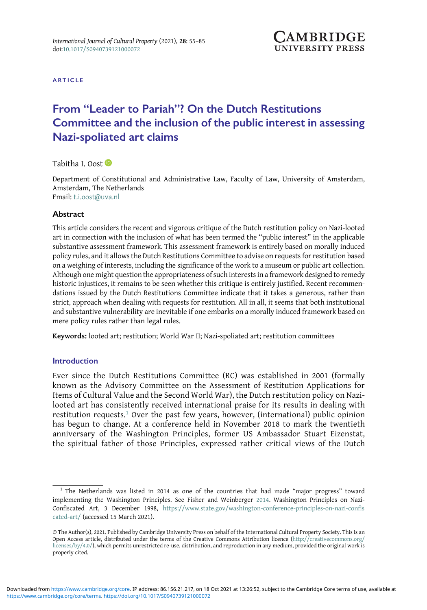

ARTICLE

# From "Leader to Pariah"? On the Dutch Restitutions Committee and the inclusion of the public interest in assessing Nazi-spoliated art claims

Tabitha I. Oost

Department of Constitutional and Administrative Law, Faculty of Law, University of Amsterdam, Amsterdam, The Netherlands Email: [t.i.oost@uva.nl](mailto:t.i.oost@uva.nl)

**Abstract** 

This article considers the recent and vigorous critique of the Dutch restitution policy on Nazi-looted art in connection with the inclusion of what has been termed the "public interest" in the applicable substantive assessment framework. This assessment framework is entirely based on morally induced policy rules, and it allows the Dutch Restitutions Committee to advise on requests for restitution based on a weighing of interests, including the significance of the work to a museum or public art collection. Although one might question the appropriateness of such interests in a framework designed to remedy historic injustices, it remains to be seen whether this critique is entirely justified. Recent recommendations issued by the Dutch Restitutions Committee indicate that it takes a generous, rather than strict, approach when dealing with requests for restitution. All in all, it seems that both institutional and substantive vulnerability are inevitable if one embarks on a morally induced framework based on mere policy rules rather than legal rules.

Keywords: looted art; restitution; World War II; Nazi-spoliated art; restitution committees

# **Introduction**

Ever since the Dutch Restitutions Committee (RC) was established in 2001 (formally known as the Advisory Committee on the Assessment of Restitution Applications for Items of Cultural Value and the Second World War), the Dutch restitution policy on Nazilooted art has consistently received international praise for its results in dealing with restitution requests.<sup>1</sup> Over the past few years, however, (international) public opinion has begun to change. At a conference held in November 2018 to mark the twentieth anniversary of the Washington Principles, former US Ambassador Stuart Eizenstat, the spiritual father of those Principles, expressed rather critical views of the Dutch

<sup>&</sup>lt;sup>1</sup> The Netherlands was listed in 2014 as one of the countries that had made "major progress" toward implementing the Washington Principles. See Fisher and Weinberger [2014.](#page-28-0) Washington Principles on Nazi-Confiscated Art, 3 December 1998, [https://www.state.gov/washington-conference-principles-on-nazi-confis](https://www.state.gov/washington-conference-principles-on-nazi-confiscated-art/) [cated-art/](https://www.state.gov/washington-conference-principles-on-nazi-confiscated-art/) (accessed 15 March 2021).

<sup>©</sup> The Author(s), 2021. Published by Cambridge University Press on behalf of the International Cultural Property Society. This is an Open Access article, distributed under the terms of the Creative Commons Attribution licence [\(http://creativecommons.org/](http://creativecommons.org/licenses/by/4.0/) [licenses/by/4.0/](http://creativecommons.org/licenses/by/4.0/)), which permits unrestricted re-use, distribution, and reproduction in any medium, provided the original work is properly cited.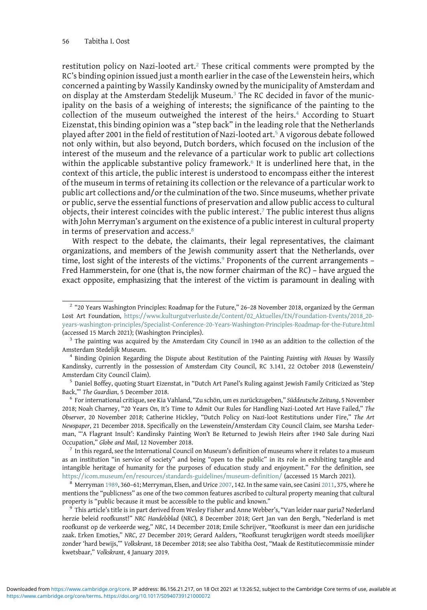restitution policy on Nazi-looted art.<sup>2</sup> These critical comments were prompted by the RC's binding opinion issued just a month earlier in the case of the Lewenstein heirs, which concerned a painting by Wassily Kandinsky owned by the municipality of Amsterdam and on display at the Amsterdam Stedelijk Museum.<sup>3</sup> The RC decided in favor of the municipality on the basis of a weighing of interests; the significance of the painting to the collection of the museum outweighed the interest of the heirs.<sup>4</sup> According to Stuart Eizenstat, this binding opinion was a "step back" in the leading role that the Netherlands played after 2001 in the field of restitution of Nazi-looted art.<sup>5</sup> A vigorous debate followed not only within, but also beyond, Dutch borders, which focused on the inclusion of the interest of the museum and the relevance of a particular work to public art collections within the applicable substantive policy framework.<sup>6</sup> It is underlined here that, in the context of this article, the public interest is understood to encompass either the interest of the museum in terms of retaining its collection or the relevance of a particular work to public art collections and/or the culmination of the two. Since museums, whether private or public, serve the essential functions of preservation and allow public access to cultural objects, their interest coincides with the public interest.<sup>7</sup> The public interest thus aligns with John Merryman's argument on the existence of a public interest in cultural property in terms of preservation and access.<sup>8</sup>

With respect to the debate, the claimants, their legal representatives, the claimant organizations, and members of the Jewish community assert that the Netherlands, over time, lost sight of the interests of the victims.<sup>9</sup> Proponents of the current arrangements -Fred Hammerstein, for one (that is, the now former chairman of the RC) – have argued the exact opposite, emphasizing that the interest of the victim is paramount in dealing with

as an institution "in service of society" and being "open to the public" in its role in exhibiting tangible and intangible heritage of humanity for the purposes of education study and enjoyment." For the definition, see <https://icom.museum/en/resources/standards-guidelines/museum-definition/> (accessed 15 March 2021). <sup>8</sup> Merryman [1989](#page-29-0), 360–61; Merryman, Elsen, and Urice [2007](#page-29-0), 142. In the same vain, see Casini [2011,](#page-28-0) 375, where he

mentions the "publicness" as one of the two common features ascribed to cultural property meaning that cultural property is "public because it must be accessible to the public and known." <sup>9</sup> This article's title is in part derived from Wesley Fisher and Anne Webber's, "Van leider naar paria? Nederland

herzie beleid roofkunst!" NRC Handelsblad (NRC), 8 December 2018; Gert Jan van den Bergh, "Nederland is met roofkunst op de verkeerde weg," NRC, 14 December 2018; Emile Schrijver, "Roofkunst is meer dan een juridische zaak. Erken Emoties," NRC, 27 December 2019; Gerard Aalders, "Roofkunst terugkrijgen wordt steeds moeilijker zonder 'hard bewijs,'" Volkskrant, 18 December 2018; see also Tabitha Oost, "Maak de Restitutiecommissie minder kwetsbaar," Volkskrant, 4 January 2019.

<sup>2</sup> "20 Years Washington Principles: Roadmap for the Future," 26–28 November 2018, organized by the German Lost Art Foundation, [https://www.kulturgutverluste.de/Content/02\\_Aktuelles/EN/Foundation-Events/2018\\_20](https://www.kulturgutverluste.de/Content/02_Aktuelles/EN/Foundation-Events/2018_20-years-washington-principles/Specialist-Conference-20-Years-Washington-Principles-Roadmap-for-the-Future.html) [years-washington-principles/Specialist-Conference-20-Years-Washington-Principles-Roadmap-for-the-Future.html](https://www.kulturgutverluste.de/Content/02_Aktuelles/EN/Foundation-Events/2018_20-years-washington-principles/Specialist-Conference-20-Years-Washington-Principles-Roadmap-for-the-Future.html) (accessed 15 March 2021); (Washington Principles).<br><sup>3</sup> The painting was acquired by the Amsterdam City Council in 1940 as an addition to the collection of the

Amsterdam Stedelijk Museum.<br><sup>4</sup> Binding Opinion Regarding the Dispute about Restitution of the Painting *Painting with Houses* by Wassily

Kandinsky, currently in the possession of Amsterdam City Council, RC 3.141, 22 October 2018 (Lewenstein/ Amsterdam City Council Claim).<br><sup>5</sup> Daniel Boffey, quoting Stuart Eizenstat, in "Dutch Art Panel's Ruling against Jewish Family Criticized as 'Step

Back," The Guardian, 5 December 2018.<br>6 For international critique, see Kia Vahland, "Zu schön, um es zurückzugeben," Süddeutsche Zeitung, 5 November

<sup>2018;</sup> Noah Charney, "20 Years On, It's Time to Admit Our Rules for Handling Nazi-Looted Art Have Failed," The Observer, 20 November 2018; Catherine Hickley, "Dutch Policy on Nazi-loot Restitutions under Fire," The Art Newspaper, 21 December 2018. Specifically on the Lewenstein/Amsterdam City Council Claim, see Marsha Lederman, "'A Flagrant Insult': Kandinsky Painting Won't Be Returned to Jewish Heirs after 1940 Sale during Nazi Occupation," Globe and Mail, 12 November 2018.<br><sup>7</sup> In this regard, see the International Council on Museum's definition of museums where it relates to a museum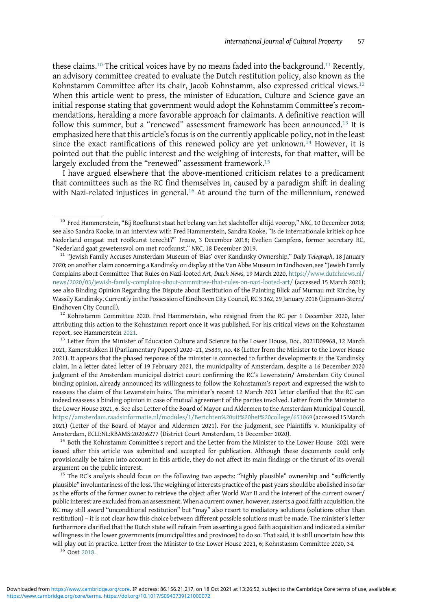these claims.<sup>10</sup> The critical voices have by no means faded into the background.<sup>11</sup> Recently, an advisory committee created to evaluate the Dutch restitution policy, also known as the Kohnstamm Committee after its chair, Jacob Kohnstamm, also expressed critical views.<sup>12</sup> When this article went to press, the minister of Education, Culture and Science gave an initial response stating that government would adopt the Kohnstamm Committee's recommendations, heralding a more favorable approach for claimants. A definitive reaction will follow this summer, but a "renewed" assessment framework has been announced.<sup>13</sup> It is emphasized here that this article's focus is on the currently applicable policy, not in the least since the exact ramifications of this renewed policy are yet unknown.<sup>14</sup> However, it is pointed out that the public interest and the weighing of interests, for that matter, will be largely excluded from the "renewed" assessment framework.<sup>15</sup>

I have argued elsewhere that the above-mentioned criticism relates to a predicament that committees such as the RC find themselves in, caused by a paradigm shift in dealing with Nazi-related injustices in general.<sup>16</sup> At around the turn of the millennium, renewed

attributing this action to the Kohnstamm report once it was published. For his critical views on the Kohnstamm report, see Hammerstein [2021.](#page-28-0)<br><sup>13</sup> Letter from the Minister of Education Culture and Science to the Lower House, Doc. 2021D09968, 12 March

2021, Kamerstukken II (Parliamentary Papers) 2020–21, 25839, no. 48 (Letter from the Minister to the Lower House 2021). It appears that the phased response of the minister is connected to further developments in the Kandinsky claim. In a letter dated letter of 19 February 2021, the municipality of Amsterdam, despite a 16 December 2020 judgment of the Amsterdam municipal district court confirming the RC's Lewenstein/ Amsterdam City Council binding opinion, already announced its willingness to follow the Kohnstamm's report and expressed the wish to reassess the claim of the Lewenstein heirs. The minister's recent 12 March 2021 letter clarified that the RC can indeed reassess a binding opinion in case of mutual agreement of the parties involved. Letter from the Minister to the Lower House 2021, 6. See also Letter of the Board of Mayor and Aldermen to the Amsterdam Municipal Council, <https://amsterdam.raadsinformatie.nl/modules/1/Berichten%20uit%20het%20college/651069> (accessed15March 2021) (Letter of the Board of Mayor and Aldermen 2021). For the judgment, see Plaintiffs v. Municipality of Amsterdam, ECLI:NL:RBAMS:2020:6277 (District Court Amsterdam, 16 December 2020).<br><sup>14</sup> Both the Kohnstamm Committee's report and the Letter from the Minister to the Lower House 2021 were

issued after this article was submitted and accepted for publication. Although these documents could only provisionally be taken into account in this article, they do not affect its main findings or the thrust of its overall

 $15$  The RC's analysis should focus on the following two aspects: "highly plausible" ownership and "sufficiently plausible" involuntariness of the loss. The weighing of interests practice of the past years should be abolished in so far as the efforts of the former owner to retrieve the object after World War II and the interest of the current owner/ public interest are excluded from an assessment. When a current owner, however, asserts a good faith acquisition, the RC may still award "unconditional restitution" but "may" also resort to mediatory solutions (solutions other than restitution) – it is not clear how this choice between different possible solutions must be made. The minister's letter furthermore clarified that the Dutch state will refrain from asserting a good faith acquisition and indicated a similar willingness in the lower governments (municipalities and provinces) to do so. That said, it is still uncertain how this will play out in practice. Letter from the Minister to the Lower House 2021, 6; Kohnstamm Committee 2020, 34. <sup>16</sup> Oost [2018](#page-29-0).

<sup>&</sup>lt;sup>10</sup> Fred Hammerstein, "Bij Roofkunst staat het belang van het slachtoffer altijd voorop," NRC, 10 December 2018; see also Sandra Kooke, in an interview with Fred Hammerstein, Sandra Kooke, "Is de internationale kritiek op hoe Nederland omgaat met roofkunst terecht?" Trouw, 3 December 2018; Evelien Campfens, former secretary RC, "Nederland gaat gewetensvol om met roofkunst," NRC, 18 December 2019.<br><sup>11</sup> "Jewish Family Accuses Amsterdam Museum of 'Bias' over Kandinsky Ownership," Daily Telegraph, 18 January

<sup>2020;</sup> on another claim concerning a Kandinsky on display at the Van Abbe Museum in Eindhoven, see "Jewish Family Complains about Committee That Rules on Nazi-looted Art, Dutch News, 19 March 2020, [https://www.dutchnews.nl/](https://www.dutchnews.nl/news/2020/03/jewish-family-complains-about-committee-that-rules-on-nazi-looted-art/) [news/2020/03/jewish-family-complains-about-committee-that-rules-on-nazi-looted-art/](https://www.dutchnews.nl/news/2020/03/jewish-family-complains-about-committee-that-rules-on-nazi-looted-art/) (accessed 15 March 2021); see also Binding Opinion Regarding the Dispute about Restitution of the Painting Blick auf Murnau mit Kirche, by Wassily Kandinsky, Currently in the Possession of Eindhoven City Council, RC 3.162, 29 January 2018 (Lipmann-Stern/ Eindhoven City Council).<br><sup>12</sup> Kohnstamm Committee 2020. Fred Hammerstein, who resigned from the RC per 1 December 2020, later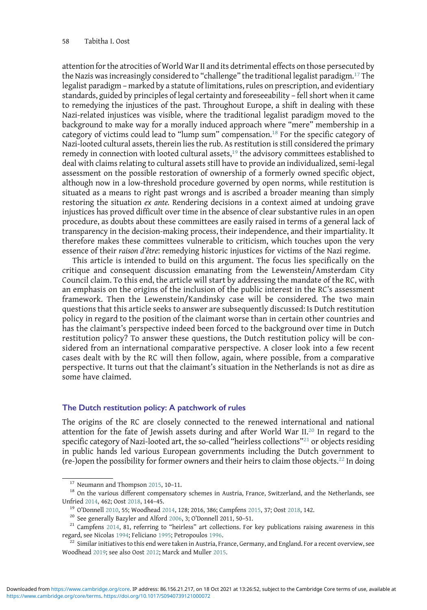attention for the atrocities of World War II and its detrimental effects on those persecuted by the Nazis was increasingly considered to "challenge" the traditional legalist paradigm.<sup>17</sup> The legalist paradigm – marked by a statute of limitations, rules on prescription, and evidentiary standards, guided by principles of legal certainty and foreseeability – fell short when it came to remedying the injustices of the past. Throughout Europe, a shift in dealing with these Nazi-related injustices was visible, where the traditional legalist paradigm moved to the background to make way for a morally induced approach where "mere" membership in a category of victims could lead to "lump sum" compensation.<sup>18</sup> For the specific category of Nazi-looted cultural assets, therein lies the rub. As restitution is still considered the primary remedy in connection with looted cultural assets, $19$  the advisory committees established to deal with claims relating to cultural assets still have to provide an individualized, semi-legal assessment on the possible restoration of ownership of a formerly owned specific object, although now in a low-threshold procedure governed by open norms, while restitution is situated as a means to right past wrongs and is ascribed a broader meaning than simply restoring the situation ex ante. Rendering decisions in a context aimed at undoing grave injustices has proved difficult over time in the absence of clear substantive rules in an open procedure, as doubts about these committees are easily raised in terms of a general lack of transparency in the decision-making process, their independence, and their impartiality. It therefore makes these committees vulnerable to criticism, which touches upon the very essence of their raison d'être: remedying historic injustices for victims of the Nazi regime.

This article is intended to build on this argument. The focus lies specifically on the critique and consequent discussion emanating from the Lewenstein/Amsterdam City Council claim. To this end, the article will start by addressing the mandate of the RC, with an emphasis on the origins of the inclusion of the public interest in the RC's assessment framework. Then the Lewenstein/Kandinsky case will be considered. The two main questions that this article seeks to answer are subsequently discussed: Is Dutch restitution policy in regard to the position of the claimant worse than in certain other countries and has the claimant's perspective indeed been forced to the background over time in Dutch restitution policy? To answer these questions, the Dutch restitution policy will be considered from an international comparative perspective. A closer look into a few recent cases dealt with by the RC will then follow, again, where possible, from a comparative perspective. It turns out that the claimant's situation in the Netherlands is not as dire as some have claimed.

## The Dutch restitution policy: A patchwork of rules

The origins of the RC are closely connected to the renewed international and national attention for the fate of Jewish assets during and after World War II.<sup>20</sup> In regard to the specific category of Nazi-looted art, the so-called "heirless collections"<sup>21</sup> or objects residing in public hands led various European governments including the Dutch government to (re-)open the possibility for former owners and their heirs to claim those objects.<sup>22</sup> In doing

<sup>&</sup>lt;sup>17</sup> Neumann and Thompson [2015](#page-29-0), 10-11.<br><sup>18</sup> On the various different compensatory schemes in Austria, France, Switzerland, and the Netherlands, see

Unfried [2014](#page-30-0), 462; Oost [2018,](#page-29-0) 144-45.<br><sup>19</sup> O'Donnell [2010,](#page-29-0) 55; Woodhead 2014, 128; 2016, 386; Campfens [2015,](#page-28-0) 37; Oost [2018](#page-29-0), 142.<br><sup>20</sup> See generally Bazyler and Alford [2006,](#page-28-0) 3; O'Donnell 2011, 50-51.<br><sup>21</sup> Campfens [2014,](#page-28-0) 81,

 $^{22}$  Similar initiatives to this end were taken in Austria, France, Germany, and England. For a recent overview, see Woodhead [2019;](#page-30-0) see also Oost [2012;](#page-29-0) Marck and Muller [2015.](#page-29-0)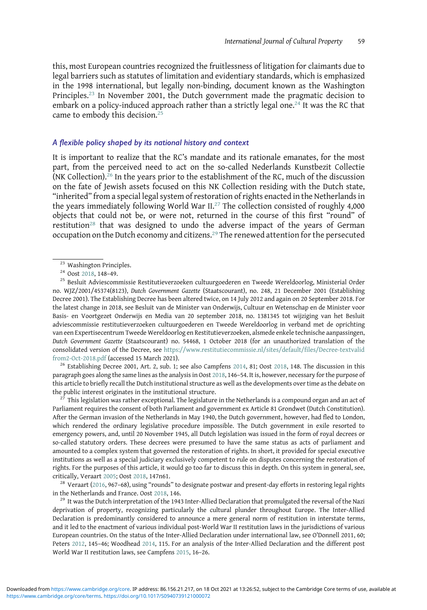this, most European countries recognized the fruitlessness of litigation for claimants due to legal barriers such as statutes of limitation and evidentiary standards, which is emphasized in the 1998 international, but legally non-binding, document known as the Washington Principles.<sup>23</sup> In November 2001, the Dutch government made the pragmatic decision to embark on a policy-induced approach rather than a strictly legal one.<sup>24</sup> It was the RC that came to embody this decision.<sup>25</sup>

## A flexible policy shaped by its national history and context

It is important to realize that the RC's mandate and its rationale emanates, for the most part, from the perceived need to act on the so-called Nederlands Kunstbezit Collectie (NK Collection).<sup>26</sup> In the years prior to the establishment of the RC, much of the discussion on the fate of Jewish assets focused on this NK Collection residing with the Dutch state, "inherited" from a special legal system of restoration of rights enacted in the Netherlands in the years immediately following World War  $II^{27}$  The collection consisted of roughly 4,000 objects that could not be, or were not, returned in the course of this first "round" of restitution<sup>28</sup> that was designed to undo the adverse impact of the years of German occupation on the Dutch economy and citizens.<sup>29</sup> The renewed attention for the persecuted

<sup>23</sup> Washington Principles.<br><sup>24</sup> Oost [2018](#page-29-0), 148–49.<br><sup>25</sup> Besluit Adviescommissie Restitutieverzoeken cultuurgoederen en Tweede Wereldoorlog, Ministerial Order no. WJZ/2001/45374(8123), Dutch Government Gazette (Staatscourant), no. 248, 21 December 2001 (Establishing Decree 2001). The Establishing Decree has been altered twice, on 14 July 2012 and again on 20 September 2018. For the latest change in 2018, see Besluit van de Minister van Onderwijs, Cultuur en Wetenschap en de Minister voor Basis- en Voortgezet Onderwijs en Media van 20 september 2018, no. 1381345 tot wijziging van het Besluit adviescommissie restitutieverzoeken cultuurgoederen en Tweede Wereldoorlog in verband met de oprichting van een Expertisecentrum Tweede Wereldoorlog en Restitutieverzoeken, alsmede enkele technische aanpassingen, Dutch Government Gazette (Staatscourant) no. 54468, 1 October 2018 (for an unauthorized translation of the consolidated version of the Decree, see [https://www.restitutiecommissie.nl/sites/default/files/Decree-textvalid](https://www.restitutiecommissie.nl/sites/default/files/Decree-textvalidfrom2-Oct-2018.pdf) [from2-Oct-2018.pdf](https://www.restitutiecommissie.nl/sites/default/files/Decree-textvalidfrom2-Oct-2018.pdf) (accessed 15 March 2021).<br><sup>26</sup> Establishing Decree 2001, Art. 2, sub. 1; see also Campfens [2014](#page-28-0), 81; Oost [2018](#page-29-0), 148. The discussion in this

paragraph goes along the same lines as the analysis in Oost [2018](#page-29-0), 146-54. It is, however, necessary for the purpose of this article to briefly recall the Dutch institutional structure as well as the developments over time as the debate on the public interest originates in the institutional structure.<br><sup>27</sup> This legislation was rather exceptional. The legislature in the Netherlands is a compound organ and an act of

Parliament requires the consent of both Parliament and government ex Article 81 Grondwet (Dutch Constitution). After the German invasion of the Netherlands in May 1940, the Dutch government, however, had fled to London, which rendered the ordinary legislative procedure impossible. The Dutch government in exile resorted to emergency powers, and, until 20 November 1945, all Dutch legislation was issued in the form of royal decrees or so-called statutory orders. These decrees were presumed to have the same status as acts of parliament and amounted to a complex system that governed the restoration of rights. In short, it provided for special executive institutions as well as a special judiciary exclusively competent to rule on disputes concerning the restoration of rights. For the purposes of this article, it would go too far to discuss this in depth. On this system in general, see, critically, Veraart [2005;](#page-29-0) Oost [2018](#page-29-0), 147n61.<br><sup>28</sup> Veraart [\(2016,](#page-29-0) 967–68), using "rounds" to designate postwar and present-day efforts in restoring legal rights

in the Netherlands and France. Oost [2018,](#page-29-0) 146.<br><sup>29</sup> It was the Dutch interpretation of the 1943 Inter-Allied Declaration that promulgated the reversal of the Nazi

deprivation of property, recognizing particularly the cultural plunder throughout Europe. The Inter-Allied Declaration is predominantly considered to announce a mere general norm of restitution in interstate terms, and it led to the enactment of various individual post-World War II restitution laws in the jurisdictions of various European countries. On the status of the Inter-Allied Declaration under international law, see O'Donnell 2011, 60; Peters [2012](#page-29-0), 145–46; Woodhead [2014,](#page-30-0) 115. For an analysis of the Inter-Allied Declaration and the different post World War II restitution laws, see Campfens [2015](#page-28-0), 16–26.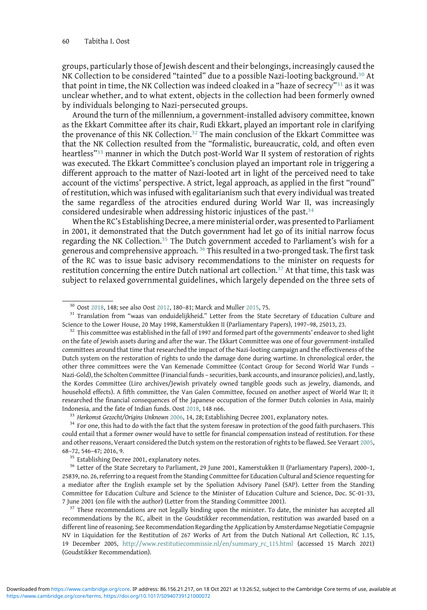groups, particularly those of Jewish descent and their belongings, increasingly caused the NK Collection to be considered "tainted" due to a possible Nazi-looting background.<sup>30</sup> At that point in time, the NK Collection was indeed cloaked in a "haze of secrecy"<sup>31</sup> as it was unclear whether, and to what extent, objects in the collection had been formerly owned by individuals belonging to Nazi-persecuted groups.

Around the turn of the millennium, a government-installed advisory committee, known as the Ekkart Committee after its chair, Rudi Ekkart, played an important role in clarifying the provenance of this NK Collection.<sup>32</sup> The main conclusion of the Ekkart Committee was that the NK Collection resulted from the "formalistic, bureaucratic, cold, and often even heartless"<sup>33</sup> manner in which the Dutch post-World War II system of restoration of rights was executed. The Ekkart Committee's conclusion played an important role in triggering a different approach to the matter of Nazi-looted art in light of the perceived need to take account of the victims' perspective. A strict, legal approach, as applied in the first "round" of restitution, which was infused with egalitarianism such that every individual was treated the same regardless of the atrocities endured during World War II, was increasingly considered undesirable when addressing historic injustices of the past.<sup>34</sup>

When the RC's Establishing Decree, a mere ministerial order, was presented to Parliament in 2001, it demonstrated that the Dutch government had let go of its initial narrow focus regarding the NK Collection.<sup>35</sup> The Dutch government acceded to Parliament's wish for a generous and comprehensive approach. <sup>36</sup> This resulted in a two-pronged task. The first task of the RC was to issue basic advisory recommendations to the minister on requests for restitution concerning the entire Dutch national art collection.<sup>37</sup> At that time, this task was subject to relaxed governmental guidelines, which largely depended on the three sets of

<sup>&</sup>lt;sup>30</sup> Oost [2018,](#page-29-0) 148; see also Oost [2012](#page-29-0), 180–81; Marck and Muller [2015,](#page-29-0) 75.<br><sup>31</sup> Translation from "waas van onduidelijkheid." Letter from the State Secretary of Education Culture and<br>Science to the Lower House, 20 May 199

 $32$  This committee was established in the fall of 1997 and formed part of the governments' endeavor to shed light on the fate of Jewish assets during and after the war. The Ekkart Committee was one of four government-installed committees around that time that researched the impact of the Nazi-looting campaign and the effectiveness of the Dutch system on the restoration of rights to undo the damage done during wartime. In chronological order, the other three committees were the Van Kemenade Committee (Contact Group for Second World War Funds – Nazi-Gold), the Scholten Committee (Financial funds – securities, bank accounts, and insurance policies), and, lastly, the Kordes Committee (Liro archives/Jewish privately owned tangible goods such as jewelry, diamonds, and household effects). A fifth committee, the Van Galen Committee, focused on another aspect of World War II; it researched the financial consequences of the Japanese occupation of the former Dutch colonies in Asia, mainly Indonesia, and the fate of Indian funds. Oost [2018,](#page-29-0) 148 n66.<br><sup>33</sup> Herkomst Gezocht/Origins Unknown [2006,](#page-29-0) 14, 28; Establishing Decree 2001, explanatory notes.<br><sup>34</sup> For one, this had to do with the fact that the system fores

could entail that a former owner would have to settle for financial compensation instead of restitution. For these and other reasons, Veraart considered the Dutch system on the restoration of rights to be flawed. See Veraart [2005](#page-29-0), 68–72, 546–47; 2016, 9.<br><sup>35</sup> Establishing Decree 2001, explanatory notes.<br><sup>36</sup> Letter of the State Secretary to Parliament, 29 June 2001, Kamerstukken II (Parliamentary Papers), 2000–1,

<sup>25839,</sup> no. 26, referring to a request from the Standing Committee for Education Cultural and Science requesting for a mediator after the English example set by the Spoliation Advisory Panel (SAP). Letter from the Standing Committee for Education Culture and Science to the Minister of Education Culture and Science, Doc. SC-01-33, 7 June 2001 (on file with the author) (Letter from the Standing Committee 2001).<br><sup>37</sup> These recommendations are not legally binding upon the minister. To date, the minister has accepted all

recommendations by the RC, albeit in the Goudstikker recommendation, restitution was awarded based on a different line of reasoning. See Recommendation Regarding the Application by Amsterdamse Negotiatie Compagnie NV in Liquidation for the Restitution of 267 Works of Art from the Dutch National Art Collection, RC 1.15, 19 December 2005, [http://www.restitutiecommissie.nl/en/summary\\_rc\\_115.html](http://www.restitutiecommissie.nl/en/summary_rc_115.html) (accessed 15 March 2021) (Goudstikker Recommendation).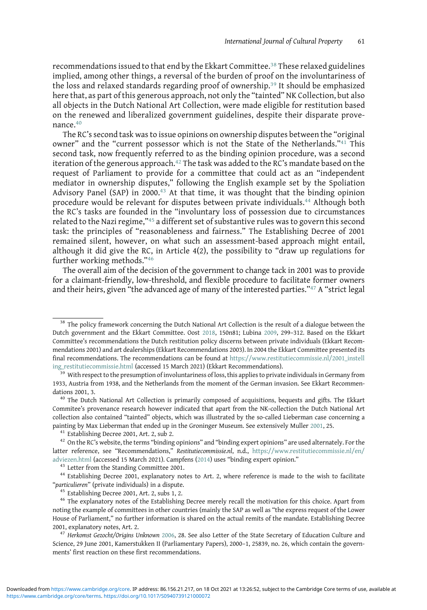recommendations issued to that end by the Ekkart Committee.<sup>38</sup> These relaxed guidelines implied, among other things, a reversal of the burden of proof on the involuntariness of the loss and relaxed standards regarding proof of ownership.<sup>39</sup> It should be emphasized here that, as part of this generous approach, not only the "tainted" NK Collection, but also all objects in the Dutch National Art Collection, were made eligible for restitution based on the renewed and liberalized government guidelines, despite their disparate provenance.<sup>40</sup>

The RC's second task was to issue opinions on ownership disputes between the "original owner" and the "current possessor which is not the State of the Netherlands."<sup>41</sup> This second task, now frequently referred to as the binding opinion procedure, was a second iteration of the generous approach.<sup>42</sup> The task was added to the RC's mandate based on the request of Parliament to provide for a committee that could act as an "independent mediator in ownership disputes," following the English example set by the Spoliation Advisory Panel (SAP) in 2000.<sup>43</sup> At that time, it was thought that the binding opinion procedure would be relevant for disputes between private individuals.<sup>44</sup> Although both the RC's tasks are founded in the "involuntary loss of possession due to circumstances related to the Nazi regime,"45 a different set of substantive rules was to govern this second task: the principles of "reasonableness and fairness." The Establishing Decree of 2001 remained silent, however, on what such an assessment-based approach might entail, although it did give the RC, in Article 4(2), the possibility to "draw up regulations for further working methods."<sup>46</sup>

The overall aim of the decision of the government to change tack in 2001 was to provide for a claimant-friendly, low-threshold, and flexible procedure to facilitate former owners and their heirs, given "the advanced age of many of the interested parties."47 A "strict legal

<sup>&</sup>lt;sup>38</sup> The policy framework concerning the Dutch National Art Collection is the result of a dialogue between the Dutch government and the Ekkart Committee. Oost [2018,](#page-29-0) 150n81; Lubina [2009,](#page-29-0) 299–312. Based on the Ekkart Committee's recommendations the Dutch restitution policy discerns between private individuals (Ekkart Recommendations 2001) and art dealerships (Ekkart Recommendations 2003). In 2004 the Ekkart Committee presented its final recommendations. The recommendations can be found at [https://www.restitutiecommissie.nl/2001\\_instell](https://www.restitutiecommissie.nl/2001_instelling_restitutiecommissie.html) [ing\\_restitutiecommissie.html](https://www.restitutiecommissie.nl/2001_instelling_restitutiecommissie.html) (accessed 15 March 2021) (Ekkart Recommendations).<br><sup>39</sup> With respect to the presumption of involuntariness of loss, this applies to private individuals in Germany from

<sup>1933,</sup> Austria from 1938, and the Netherlands from the moment of the German invasion. See Ekkart Recommendations 2001, 3.<br><sup>40</sup> The Dutch National Art Collection is primarily composed of acquisitions, bequests and gifts. The Ekkart

Commitee's provenance research however indicated that apart from the NK-collection the Dutch National Art collection also contained "tainted" objects, which was illustrated by the so-called Lieberman case concerning a painting by Max Lieberman that ended up in the Groninger Museum. See extensively Muller [2001](#page-29-0), 25.<br><sup>41</sup> Establishing Decree 2001, Art. 2, sub 2.<br><sup>42</sup> On the RC's website, the terms "binding opinions" and "binding expert opi

latter reference, see "Recommendations," Restitutiecommissie.nl, n.d., [https://www.restitutiecommissie.nl/en/](https://www.restitutiecommissie.nl/en/adviezen.html)

 $^{43}$  Letter from the Standing Committee 2001.<br> $^{44}$  Establishing Decree 2001, explanatory notes to Art. 2, where reference is made to the wish to facilitate "particulieren" (private individuals) in a dispute.

<sup>&</sup>lt;sup>45</sup> Establishing Decree 2001, Art. 2, subs 1, 2.<br><sup>46</sup> The explanatory notes of the Establishing Decree merely recall the motivation for this choice. Apart from noting the example of committees in other countries (mainly the SAP as well as "the express request of the Lower House of Parliament," no further information is shared on the actual remits of the mandate. Establishing Decree 2001, explanatory notes, Art. 2.<br> $47$  Herkomst Gezocht/Origins Unknown [2006,](#page-29-0) 28. See also Letter of the State Secretary of Education Culture and

Science, 29 June 2001, Kamerstukken II (Parliamentary Papers), 2000–1, 25839, no. 26, which contain the governments' first reaction on these first recommendations.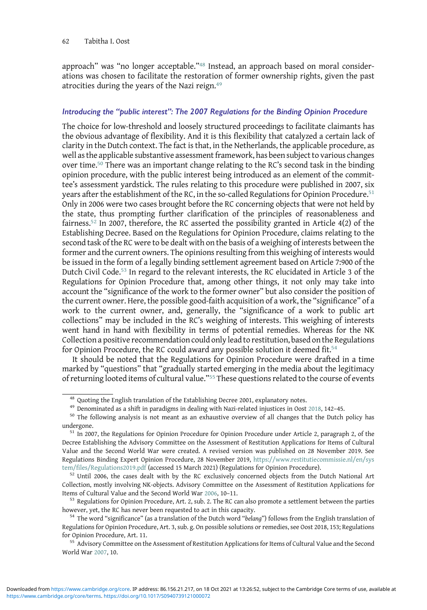approach" was "no longer acceptable."<sup>48</sup> Instead, an approach based on moral considerations was chosen to facilitate the restoration of former ownership rights, given the past atrocities during the years of the Nazi reign.<sup>49</sup>

#### Introducing the "public interest": The 2007 Regulations for the Binding Opinion Procedure

The choice for low-threshold and loosely structured proceedings to facilitate claimants has the obvious advantage of flexibility. And it is this flexibility that catalyzed a certain lack of clarity in the Dutch context. The fact is that, in the Netherlands, the applicable procedure, as well as the applicable substantive assessment framework, has been subject to various changes over time.50 There was an important change relating to the RC's second task in the binding opinion procedure, with the public interest being introduced as an element of the committee's assessment yardstick. The rules relating to this procedure were published in 2007, six years after the establishment of the RC, in the so-called Regulations for Opinion Procedure.<sup>51</sup> Only in 2006 were two cases brought before the RC concerning objects that were not held by the state, thus prompting further clarification of the principles of reasonableness and fairness.<sup>52</sup> In 2007, therefore, the RC asserted the possibility granted in Article  $4(2)$  of the Establishing Decree. Based on the Regulations for Opinion Procedure, claims relating to the second task of the RC were to be dealt with on the basis of a weighing of interests between the former and the current owners. The opinions resulting from this weighing of interests would be issued in the form of a legally binding settlement agreement based on Article 7:900 of the Dutch Civil Code.53 In regard to the relevant interests, the RC elucidated in Article 3 of the Regulations for Opinion Procedure that, among other things, it not only may take into account the "significance of the work to the former owner" but also consider the position of the current owner. Here, the possible good-faith acquisition of a work, the "significance" of a work to the current owner, and, generally, the "significance of a work to public art collections" may be included in the RC's weighing of interests. This weighing of interests went hand in hand with flexibility in terms of potential remedies. Whereas for the NK Collection a positive recommendation could only lead to restitution, based on the Regulations for Opinion Procedure, the RC could award any possible solution it deemed fit.<sup>54</sup>

It should be noted that the Regulations for Opinion Procedure were drafted in a time marked by "questions" that "gradually started emerging in the media about the legitimacy of returning looted items of cultural value."<sup>55</sup> These questions related to the course of events

[tem/files/Regulations2019.pdf](https://www.restitutiecommissie.nl/en/system/files/Regulations2019.pdf) (accessed 15 March 2021) (Regulations for Opinion Procedure).<br><sup>52</sup> Until 2006, the cases dealt with by the RC exclusively concerned objects from the Dutch National Art Collection, mostly involving NK-objects. Advisory Committee on the Assessment of Restitution Applications for Items of Cultural Value and the Second World War [2006](#page-28-0), 10–11.<br><sup>53</sup> Regulations for Opinion Procedure, Art. 2, sub. 2. The RC can also promote a settlement between the parties

however, yet, the RC has never been requested to act in this capacity.<br><sup>54</sup> The word "significance" (as a translation of the Dutch word "belang") follows from the English translation of

 $^{48}$  Quoting the English translation of the Establishing Decree 2001, explanatory notes.<br> $^{49}$  Denominated as a shift in paradigms in dealing with Nazi-related injustices in Oost [2018,](#page-29-0) 142–45.<br><sup>50</sup> The following analys undergone. <sup>51</sup> In 2007, the Regulations for Opinion Procedure for Opinion Procedure under Article 2, paragraph 2, of the

Decree Establishing the Advisory Committee on the Assessment of Restitution Applications for Items of Cultural Value and the Second World War were created. A revised version was published on 28 November 2019. See Regulations Binding Expert Opinion Procedure, 28 November 2019, [https://www.restitutiecommissie.nl/en/sys](https://www.restitutiecommissie.nl/en/system/files/Regulations2019.pdf)

Regulations for Opinion Procedure, Art. 3, sub. g. On possible solutions or remedies, see Oost 2018, 153; Regulations for Opinion Procedure, Art. 11.<br><sup>55</sup> Advisory Committee on the Assessment of Restitution Applications for Items of Cultural Value and the Second

World War [2007](#page-28-0), 10.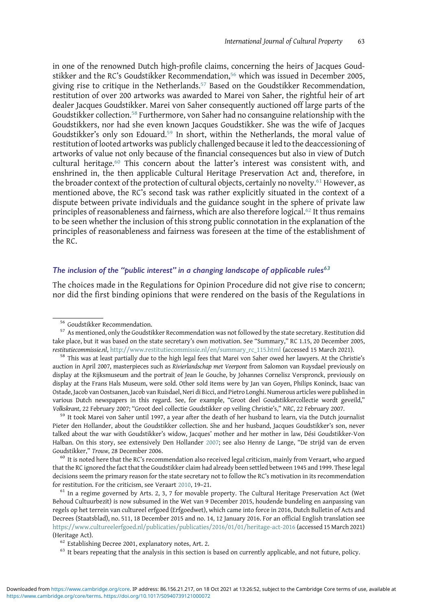in one of the renowned Dutch high-profile claims, concerning the heirs of Jacques Goudstikker and the RC's Goudstikker Recommendation,<sup>56</sup> which was issued in December 2005, giving rise to critique in the Netherlands.<sup>57</sup> Based on the Goudstikker Recommendation, restitution of over 200 artworks was awarded to Marei von Saher, the rightful heir of art dealer Jacques Goudstikker. Marei von Saher consequently auctioned off large parts of the Goudstikker collection.<sup>58</sup> Furthermore, von Saher had no consanguine relationship with the Goudstikkers, nor had she even known Jacques Goudstikker. She was the wife of Jacques Goudstikker's only son Edouard.<sup>59</sup> In short, within the Netherlands, the moral value of restitution of looted artworks was publicly challenged because it led to the deaccessioning of artworks of value not only because of the financial consequences but also in view of Dutch cultural heritage.<sup>60</sup> This concern about the latter's interest was consistent with, and enshrined in, the then applicable Cultural Heritage Preservation Act and, therefore, in the broader context of the protection of cultural objects, certainly no novelty.<sup>61</sup> However, as mentioned above, the RC's second task was rather explicitly situated in the context of a dispute between private individuals and the guidance sought in the sphere of private law principles of reasonableness and fairness, which are also therefore logical.<sup>62</sup> It thus remains to be seen whether the inclusion of this strong public connotation in the explanation of the principles of reasonableness and fairness was foreseen at the time of the establishment of the RC.

# The inclusion of the "public interest" in a changing landscape of applicable rules $63$

The choices made in the Regulations for Opinion Procedure did not give rise to concern; nor did the first binding opinions that were rendered on the basis of the Regulations in

Pieter den Hollander, about the Goudstikker collection. She and her husband, Jacques Goudstikker's son, never talked about the war with Goudstikker's widow, Jacques' mother and her mother in law, Dési Goudstikker-Von Halban. On this story, see extensively Den Hollander [2007](#page-28-0); see also Henny de Lange, "De strijd van de erven Goudstikker," Trouw, 28 December 2006. <sup>60</sup> It is noted here that the RC's recommendation also received legal criticism, mainly from Veraart, who argued

that the RC ignored the fact that the Goudstikker claim had already been settled between 1945 and 1999. These legal decisions seem the primary reason for the state secretary not to follow the RC's motivation in its recommendation for restitution. For the criticism, see Veraart [2010](#page-29-0), 19–21.<br><sup>61</sup> In a regime governed by Arts. 2, 3, 7 for movable property. The Cultural Heritage Preservation Act (Wet

Behoud Cultuurbezit) is now subsumed in the Wet van 9 December 2015, houdende bundeling en aanpassing van regels op het terrein van cultureel erfgoed (Erfgoedwet), which came into force in 2016, Dutch Bulletin of Acts and Decrees (Staatsblad), no. 511, 18 December 2015 and no. 14, 12 January 2016. For an official English translation see <https://www.cultureelerfgoed.nl/publicaties/publicaties/2016/01/01/heritage-act-2016> (accessed 15 March 2021) (Heritage Act). 62 Establishing Decree 2001, explanatory notes, Art. 2. 63 It bears repeating that the analysis in this section is based on currently applicable, and not future, policy.

 $56$  Goudstikker Recommendation.<br> $57$  As mentioned, only the Goudstikker Recommendation was not followed by the state secretary. Restitution did take place, but it was based on the state secretary's own motivation. See "Summary," RC 1.15, 20 December 2005, restitutiecommissie.nl, [http://www.restitutiecommissie.nl/en/summary\\_rc\\_115.html](http://www.restitutiecommissie.nl/en/summary_rc_115.html) (accessed 15 March 2021).<br><sup>58</sup> This was at least partially due to the high legal fees that Marei von Saher owed her lawyers. At the Christie'

auction in April 2007, masterpieces such as Rivierlandschap met Veerpont from Salomon van Ruysdael previously on display at the Rijksmuseum and the portrait of Jean le Gouche, by Johannes Cornelisz Verspronck, previously on display at the Frans Hals Museum, were sold. Other sold items were by Jan van Goyen, Philips Koninck, Isaac van Ostade, Jacob van Oostsanen, Jacob van Ruisdael, Neri di Bicci, and Pietro Longhi. Numerous articles were published in various Dutch newspapers in this regard. See, for example, "Groot deel Goudstikkercollectie wordt geveild," Volkskrant, 22 February 2007; "Groot deel collectie Goudstikker op veiling Christie's," NRC, 22 February 2007. <sup>59</sup> It took Marei von Saher until 1997, a year after the death of her husband to learn, via the Dutch journalist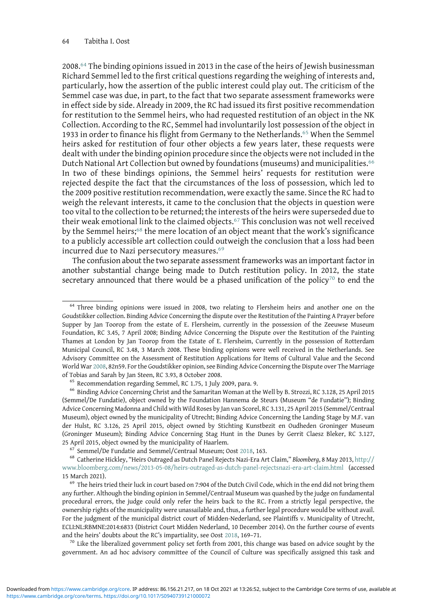2008.<sup>64</sup> The binding opinions issued in 2013 in the case of the heirs of Jewish businessman Richard Semmel led to the first critical questions regarding the weighing of interests and, particularly, how the assertion of the public interest could play out. The criticism of the Semmel case was due, in part, to the fact that two separate assessment frameworks were in effect side by side. Already in 2009, the RC had issued its first positive recommendation for restitution to the Semmel heirs, who had requested restitution of an object in the NK Collection. According to the RC, Semmel had involuntarily lost possession of the object in 1933 in order to finance his flight from Germany to the Netherlands.<sup>65</sup> When the Semmel heirs asked for restitution of four other objects a few years later, these requests were dealt with under the binding opinion procedure since the objects were not included in the Dutch National Art Collection but owned by foundations (museums) and municipalities.<sup>66</sup> In two of these bindings opinions, the Semmel heirs' requests for restitution were rejected despite the fact that the circumstances of the loss of possession, which led to the 2009 positive restitution recommendation, were exactly the same. Since the RC had to weigh the relevant interests, it came to the conclusion that the objects in question were too vital to the collection to be returned; the interests of the heirs were superseded due to their weak emotional link to the claimed objects.<sup>67</sup> This conclusion was not well received by the Semmel heirs;<sup>68</sup> the mere location of an object meant that the work's significance to a publicly accessible art collection could outweigh the conclusion that a loss had been incurred due to Nazi persecutory measures.<sup>69</sup>

The confusion about the two separate assessment frameworks was an important factor in another substantial change being made to Dutch restitution policy. In 2012, the state secretary announced that there would be a phased unification of the policy<sup>70</sup> to end the

government. An ad hoc advisory committee of the Council of Culture was specifically assigned this task and

<sup>&</sup>lt;sup>64</sup> Three binding opinions were issued in 2008, two relating to Flersheim heirs and another one on the Goudstikker collection. Binding Advice Concerning the dispute over the Restitution of the Painting A Prayer before Supper by Jan Toorop from the estate of E. Flersheim, currently in the possession of the Zeeuwse Museum Foundation, RC 3.45, 7 April 2008; Binding Advice Concerning the Dispute over the Restitution of the Painting Thames at London by Jan Toorop from the Estate of E. Flersheim, Currently in the possession of Rotterdam Municipal Council, RC 3.48, 3 March 2008. These binding opinions were well received in the Netherlands. See Advisory Committee on the Assessment of Restitution Applications for Items of Cultural Value and the Second World War [2008,](#page-28-0) 82n59. For the Goudstikker opinion, see Binding Advice Concerning the Dispute over The Marriage of Tobias and Sarah by Jan Steen, RC 3.93, 8 October 2008.<br><sup>65</sup> Recommendation regarding Semmel, RC 1.75, 1 July 2009, para. 9.<br><sup>66</sup> Binding Advice Concerning Christ and the Samaritan Woman at the Well by B. Strozzi, RC 3.

<sup>(</sup>Semmel/De Fundatie), object owned by the Foundation Hannema de Steurs (Museum "de Fundatie"); Binding Advice Concerning Madonna and Child with Wild Roses by Jan van Scorel, RC 3.131, 25 April 2015 (Semmel/Centraal Museum), object owned by the municipality of Utrecht; Binding Advice Concerning the Landing Stage by M.F. van der Hulst, RC 3.126, 25 April 2015, object owned by Stichting Kunstbezit en Oudheden Groninger Museum (Groninger Museum); Binding Advice Concerning Stag Hunt in the Dunes by Gerrit Claesz Bleker, RC 3.127, 25 April 2015, object owned by the municipality of Haarlem.<br><sup>67</sup> Semmel/De Fundatie and Semmel/Centraal Museum; Oost [2018](#page-29-0), 163.<br><sup>68</sup> Catherine Hickley, "Heirs Outraged as Dutch Panel Rejects Nazi-Era Art Claim," *Bloomber* 

[www.bloomberg.com/news/2013-05-08/heirs-outraged-as-dutch-panel-rejectsnazi-era-art-claim.html](http://www.bloomberg.com/news/2013-05-08/heirs-outraged-as-dutch-panel-rejectsnazi-era-art-claim.html) (accessed 15 March 2021).<br><sup>69</sup> The heirs tried their luck in court based on 7:904 of the Dutch Civil Code, which in the end did not bring them

any further. Although the binding opinion in Semmel/Centraal Museum was quashed by the judge on fundamental procedural errors, the judge could only refer the heirs back to the RC. From a strictly legal perspective, the ownership rights of the municipality were unassailable and, thus, a further legal procedure would be without avail. For the judgment of the municipal district court of Midden-Nederland, see Plaintiffs v. Municipality of Utrecht, ECLI:NL:RBMNE:2014:6833 (District Court Midden Nederland, 10 December 2014). On the further course of events and the heirs' doubts about the RC's impartiality, see Oost [2018](#page-29-0), 169–71.<br><sup>70</sup> Like the liberalized government policy set forth from 2001, this change was based on advice sought by the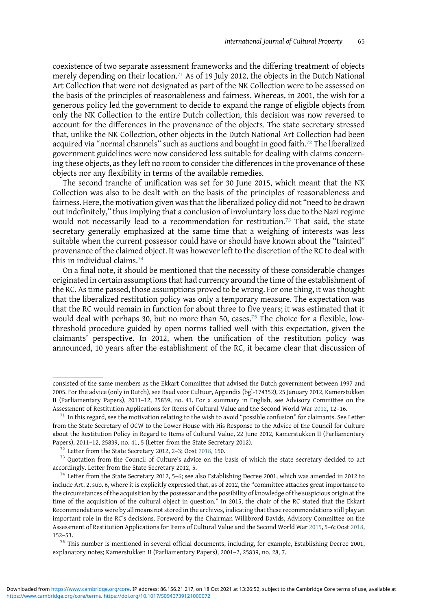coexistence of two separate assessment frameworks and the differing treatment of objects merely depending on their location.<sup>71</sup> As of 19 July 2012, the objects in the Dutch National Art Collection that were not designated as part of the NK Collection were to be assessed on the basis of the principles of reasonableness and fairness. Whereas, in 2001, the wish for a generous policy led the government to decide to expand the range of eligible objects from only the NK Collection to the entire Dutch collection, this decision was now reversed to account for the differences in the provenance of the objects. The state secretary stressed that, unlike the NK Collection, other objects in the Dutch National Art Collection had been acquired via "normal channels" such as auctions and bought in good faith.<sup>72</sup> The liberalized government guidelines were now considered less suitable for dealing with claims concerning these objects, as they left no room to consider the differences in the provenance of these objects nor any flexibility in terms of the available remedies.

The second tranche of unification was set for 30 June 2015, which meant that the NK Collection was also to be dealt with on the basis of the principles of reasonableness and fairness. Here, the motivation given was that the liberalized policy did not "need to be drawn out indefinitely," thus implying that a conclusion of involuntary loss due to the Nazi regime would not necessarily lead to a recommendation for restitution.<sup>73</sup> That said, the state secretary generally emphasized at the same time that a weighing of interests was less suitable when the current possessor could have or should have known about the "tainted" provenance of the claimed object. It was however left to the discretion of the RC to deal with this in individual claims.<sup>74</sup>

On a final note, it should be mentioned that the necessity of these considerable changes originated in certain assumptions that had currency around the time of the establishment of the RC. As time passed, those assumptions proved to be wrong. For one thing, it was thought that the liberalized restitution policy was only a temporary measure. The expectation was that the RC would remain in function for about three to five years; it was estimated that it would deal with perhaps 30, but no more than 50, cases.<sup>75</sup> The choice for a flexible, lowthreshold procedure guided by open norms tallied well with this expectation, given the claimants' perspective. In 2012, when the unification of the restitution policy was announced, 10 years after the establishment of the RC, it became clear that discussion of

consisted of the same members as the Ekkart Committee that advised the Dutch government between 1997 and 2005. For the advice (only in Dutch), see Raad voor Cultuur, Appendix (bgl-174352), 25 January 2012, Kamerstukken II (Parliamentary Papers), 2011–12, 25839, no. 41. For a summary in English, see Advisory Committee on the Assessment of Restitution Applications for Items of Cultural Value and the Second World War [2012,](#page-28-0) 12–16. <sup>71</sup> In this regard, see the motivation relating to the wish to avoid "possible confusion" for claimants. See Letter

from the State Secretary of OCW to the Lower House with His Response to the Advice of the Council for Culture about the Restitution Policy in Regard to Items of Cultural Value, 22 June 2012, Kamerstukken II (Parliamentary Papers), 2011-12, 25839, no. 41, 5 (Letter from the State Secretary 2012).<br><sup>72</sup> Letter from the State Secretary 2012, 2-3; Oost [2018](#page-29-0), 150.<br><sup>73</sup> Quotation from the Council of Culture's advice on the basis of which the stat

accordingly. Letter from the State Secretary 2012, 5. <sup>74</sup> Letter from the State Secretary 2012, 5–6; see also Establishing Decree 2001, which was amended in 2012 to

include Art. 2, sub. 6, where it is explicitly expressed that, as of 2012, the "committee attaches great importance to the circumstances of the acquisition by the possessor and the possibility of knowledge of the suspicious origin at the time of the acquisition of the cultural object in question." In 2015, the chair of the RC stated that the Ekkart Recommendations were by all means not stored in the archives, indicating that these recommendations still play an important role in the RC's decisions. Foreword by the Chairman Willibrord Davids, Advisory Committee on the Assessment of Restitution Applications for Items of Cultural Value and the Second World War [2015,](#page-28-0) 5–6; Oost [2018,](#page-29-0) 152–53.

<sup>&</sup>lt;sup>75</sup> This number is mentioned in several official documents, including, for example, Establishing Decree 2001, explanatory notes; Kamerstukken II (Parliamentary Papers), 2001–2, 25839, no. 28, 7.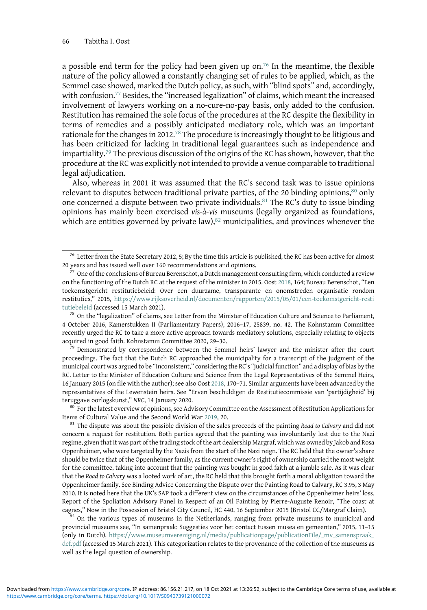a possible end term for the policy had been given up on.<sup>76</sup> In the meantime, the flexible nature of the policy allowed a constantly changing set of rules to be applied, which, as the Semmel case showed, marked the Dutch policy, as such, with "blind spots" and, accordingly, with confusion.<sup>77</sup> Besides, the "increased legalization" of claims, which meant the increased involvement of lawyers working on a no-cure-no-pay basis, only added to the confusion. Restitution has remained the sole focus of the procedures at the RC despite the flexibility in terms of remedies and a possibly anticipated mediatory role, which was an important rationale for the changes in 2012.<sup>78</sup> The procedure is increasingly thought to be litigious and has been criticized for lacking in traditional legal guarantees such as independence and impartiality.<sup>79</sup> The previous discussion of the origins of the RC has shown, however, that the procedure at the RC was explicitly not intended to provide a venue comparable to traditional legal adjudication.

Also, whereas in 2001 it was assumed that the RC's second task was to issue opinions relevant to disputes between traditional private parties, of the 20 binding opinions, $80$  only one concerned a dispute between two private individuals.<sup>81</sup> The RC's duty to issue binding opinions has mainly been exercised vis-à-vis museums (legally organized as foundations, which are entities governed by private  $law$ ), $82$  municipalities, and provinces whenever the

proceedings. The fact that the Dutch RC approached the municipality for a transcript of the judgment of the municipal court was argued to be "inconsistent," considering the RC's "judicial function" and a display of bias by the RC. Letter to the Minister of Education Culture and Science from the Legal Representatives of the Semmel Heirs, 16 January 2015 (on file with the author); see also Oost [2018](#page-29-0), 170–71. Similar arguments have been advanced by the representatives of the Lewenstein heirs. See "Erven beschuldigen de Restitutiecommissie van 'partijdigheid' bij teruggave oorlogskunst," NRC, 14 January 2020.<br><sup>80</sup> For the latest overview of opinions, see Advisory Committee on the Assessment of Restitution Applications for

Items of Cultural Value and the Second World War [2019](#page-28-0), 20.<br><sup>81</sup> The dispute was about the possible division of the sales proceeds of the painting Road to Calvary and did not

concern a request for restitution. Both parties agreed that the painting was involuntarily lost due to the Nazi regime, given that it was part of the trading stock of the art dealership Margraf, which was owned by Jakob and Rosa Oppenheimer, who were targeted by the Nazis from the start of the Nazi reign. The RC held that the owner's share should be twice that of the Oppenheimer family, as the current owner's right of ownership carried the most weight for the committee, taking into account that the painting was bought in good faith at a jumble sale. As it was clear that the Road to Calvary was a looted work of art, the RC held that this brought forth a moral obligation toward the Oppenheimer family. See Binding Advice Concerning the Dispute over the Painting Road to Calvary, RC 3.95, 3 May 2010. It is noted here that the UK's SAP took a different view on the circumstances of the Oppenheimer heirs' loss. Report of the Spoliation Advisory Panel in Respect of an Oil Painting by Pierre-Auguste Renoir, "The coast at

cagnes," Now in the Possession of Bristol City Council, HC 440, 16 September 2015 (Bristol CC/Margraf Claim).<br><sup>82</sup> On the various types of museums in the Netherlands, ranging from private museums to municipal and provincial museums see, "In samenpraak: Suggesties voor het contact tussen musea en gemeenten," 2015, 11–15 (only in Dutch), [https://www.museumvereniging.nl/media/publicationpage/publicationFile/\\_mv\\_samenspraak\\_](https://www.museumvereniging.nl/media/publicationpage/publicationFile/_mv_samenspraak_def.pdf) [def.pdf](https://www.museumvereniging.nl/media/publicationpage/publicationFile/_mv_samenspraak_def.pdf) (accessed 15 March 2021). This categorization relates to the provenance of the collection of the museums as well as the legal question of ownership.

<sup>&</sup>lt;sup>76</sup> Letter from the State Secretary 2012, 5; By the time this article is published, the RC has been active for almost 20 years and has issued well over 160 recommendations and opinions.<br><sup>77</sup> One of the conclusions of Bureau Berenschot, a Dutch management consulting firm, which conducted a review

on the functioning of the Dutch RC at the request of the minister in 2015. Oost [2018](#page-29-0), 164; Bureau Berenschot, "Een toekomstgericht restitutiebeleid: Over een duurzame, transparante en onomstreden organisatie rondom restituties," 2015, [https://www.rijksoverheid.nl/documenten/rapporten/2015/05/01/een-toekomstgericht-resti](https://www.rijksoverheid.nl/documenten/rapporten/2015/05/01/een-toekomstgericht-restitutiebeleid) [tutiebeleid](https://www.rijksoverheid.nl/documenten/rapporten/2015/05/01/een-toekomstgericht-restitutiebeleid) (accessed 15 March 2021).<br><sup>78</sup> On the "legalization" of claims, see Letter from the Minister of Education Culture and Science to Parliament,

<sup>4</sup> October 2016, Kamerstukken II (Parliamentary Papers), 2016–17, 25839, no. 42. The Kohnstamm Committee recently urged the RC to take a more active approach towards mediatory solutions, especially relating to objects acquired in good faith. Kohnstamm Committee 2020, 29–30.<br><sup>79</sup> Demonstrated by correspondence between the Semmel heirs' lawyer and the minister after the court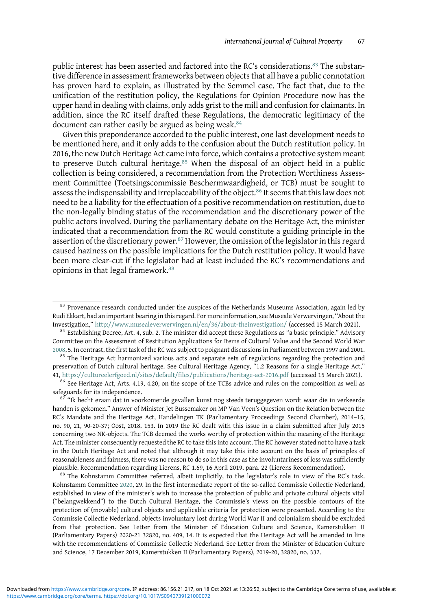public interest has been asserted and factored into the RC's considerations.<sup>83</sup> The substantive difference in assessment frameworks between objects that all have a public connotation has proven hard to explain, as illustrated by the Semmel case. The fact that, due to the unification of the restitution policy, the Regulations for Opinion Procedure now has the upper hand in dealing with claims, only adds grist to the mill and confusion for claimants. In addition, since the RC itself drafted these Regulations, the democratic legitimacy of the document can rather easily be argued as being weak.<sup>84</sup>

Given this preponderance accorded to the public interest, one last development needs to be mentioned here, and it only adds to the confusion about the Dutch restitution policy. In 2016, the new Dutch Heritage Act came into force, which contains a protective system meant to preserve Dutch cultural heritage.<sup>85</sup> When the disposal of an object held in a public collection is being considered, a recommendation from the Protection Worthiness Assessment Committee (Toetsingscommissie Beschermwaardigheid, or TCB) must be sought to assess the indispensability and irreplaceability of the object.<sup>86</sup> It seems that this law does not need to be a liability for the effectuation of a positive recommendation on restitution, due to the non-legally binding status of the recommendation and the discretionary power of the public actors involved. During the parliamentary debate on the Heritage Act, the minister indicated that a recommendation from the RC would constitute a guiding principle in the assertion of the discretionary power.<sup>87</sup> However, the omission of the legislator in this regard caused haziness on the possible implications for the Dutch restitution policy. It would have been more clear-cut if the legislator had at least included the RC's recommendations and opinions in that legal framework.<sup>88</sup>

<sup>&</sup>lt;sup>83</sup> Provenance research conducted under the auspices of the Netherlands Museums Association, again led by Rudi Ekkart, had an important bearing in this regard. For more information, see Museale Verwervingen, "About the<br>Investigation," http://www.musealeverwervingen.nl/en/36/about-theinvestigation/ (accessed 15 March 2021).

 $84$  Establishing Decree, Art. 4, sub. 2. The minister did accept these Regulations as "a basic principle." Advisory Committee on the Assessment of Restitution Applications for Items of Cultural Value and the Second World War [2008](#page-28-0), 5. In contrast, the first task of the RC was subject to poignant discussions in Parliament between 1997 and 2001.

<sup>&</sup>lt;sup>85</sup> The Heritage Act harmonized various acts and separate sets of regulations regarding the protection and preservation of Dutch cultural heritage. See Cultural Heritage Agency, "1.2 Reasons for a single Heritage Act," 41, <https://cultureelerfgoed.nl/sites/default/files/publications/heritage-act-2016.pdf> (accessed 15 March 2021).  $86$  See Heritage Act, Arts. 4.19, 4.20, on the scope of the TCBs advice and rules on the composition as wel

safeguards for its independence.<br><sup>87</sup> "Ik hecht eraan dat in voorkomende gevallen kunst nog steeds teruggegeven wordt waar die in verkeerde

handen is gekomen." Answer of Minister Jet Bussemaker on MP Van Veen's Question on the Relation between the RC's Mandate and the Heritage Act, Handelingen TK (Parliamentary Proceedings Second Chamber), 2014–15, no. 90, 21, 90-20-37; Oost, 2018, 153. In 2019 the RC dealt with this issue in a claim submitted after July 2015 concerning two NK-objects. The TCB deemed the works worthy of protection within the meaning of the Heritage Act. The minister consequently requested the RC to take this into account. The RC however stated not to have a task in the Dutch Heritage Act and noted that although it may take this into account on the basis of principles of reasonableness and fairness, there was no reason to do so in this case as the involuntariness of loss was sufficiently plausible. Recommendation regarding Lierens, RC 1.69, 16 April 2019, para. 22 (Lierens Recommendation). <sup>88</sup> The Kohnstamm Committee referred, albeit implicitly, to the legislator's role in view of the RC's task.

Kohnstamm Committee [2020](#page-29-0), 29. In the first intermediate report of the so-called Commissie Collectie Nederland, established in view of the minister's wish to increase the protection of public and private cultural objects vital ("belangwekkend") to the Dutch Cultural Heritage, the Commissie's views on the possible contours of the protection of (movable) cultural objects and applicable criteria for protection were presented. According to the Commissie Collectie Nederland, objects involuntary lost during World War II and colonialism should be excluded from that protection. See Letter from the Minister of Education Culture and Science, Kamerstukken II (Parliamentary Papers) 2020-21 32820, no. 409, 14. It is expected that the Heritage Act will be amended in line with the recommendations of Commissie Collectie Nederland. See Letter from the Minister of Education Culture and Science, 17 December 2019, Kamerstukken II (Parliamentary Papers), 2019-20, 32820, no. 332.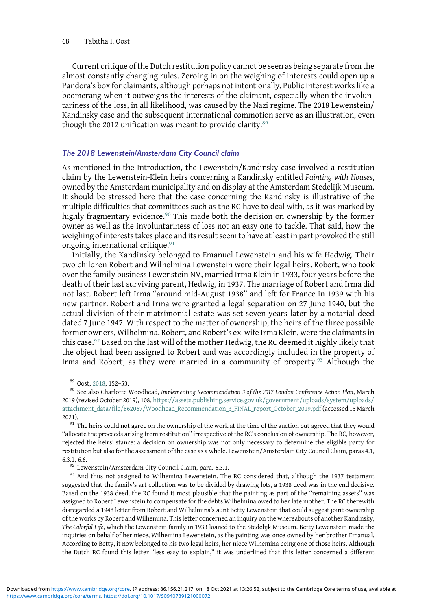Current critique of the Dutch restitution policy cannot be seen as being separate from the almost constantly changing rules. Zeroing in on the weighing of interests could open up a Pandora's box for claimants, although perhaps not intentionally. Public interest works like a boomerang when it outweighs the interests of the claimant, especially when the involuntariness of the loss, in all likelihood, was caused by the Nazi regime. The 2018 Lewenstein/ Kandinsky case and the subsequent international commotion serve as an illustration, even though the 2012 unification was meant to provide clarity.<sup>89</sup>

#### The 2018 Lewenstein/Amsterdam City Council claim

As mentioned in the Introduction, the Lewenstein/Kandinsky case involved a restitution claim by the Lewenstein-Klein heirs concerning a Kandinsky entitled Painting with Houses, owned by the Amsterdam municipality and on display at the Amsterdam Stedelijk Museum. It should be stressed here that the case concerning the Kandinsky is illustrative of the multiple difficulties that committees such as the RC have to deal with, as it was marked by highly fragmentary evidence.<sup>90</sup> This made both the decision on ownership by the former owner as well as the involuntariness of loss not an easy one to tackle. That said, how the weighing of interests takes place and its result seem to have at least in part provoked the still ongoing international critique.<sup>91</sup>

Initially, the Kandinsky belonged to Emanuel Lewenstein and his wife Hedwig. Their two children Robert and Wilhelmina Lewenstein were their legal heirs. Robert, who took over the family business Lewenstein NV, married Irma Klein in 1933, four years before the death of their last surviving parent, Hedwig, in 1937. The marriage of Robert and Irma did not last. Robert left Irma "around mid-August 1938" and left for France in 1939 with his new partner. Robert and Irma were granted a legal separation on 27 June 1940, but the actual division of their matrimonial estate was set seven years later by a notarial deed dated 7 June 1947. With respect to the matter of ownership, the heirs of the three possible former owners, Wilhelmina, Robert, and Robert's ex-wife Irma Klein, were the claimants in this case.<sup>92</sup> Based on the last will of the mother Hedwig, the RC deemed it highly likely that the object had been assigned to Robert and was accordingly included in the property of Irma and Robert, as they were married in a community of property.<sup>93</sup> Although the

<sup>&</sup>lt;sup>89</sup> Oost, [2018](#page-29-0), 152–53.<br><sup>90</sup> See also Charlotte Woodhead, *Implementing Recommendation 3 of the 2017 London Conference Action Plan*, March 2019 (revised October 2019), 108, [https://assets.publishing.service.gov.uk/government/uploads/system/uploads/](https://assets.publishing.service.gov.uk/government/uploads/system/uploads/attachment_data/file/862067/Woodhead_Recommendation_3_FINAL_report_October_2019.pdf) [attachment\\_data/file/862067/Woodhead\\_Recommendation\\_3\\_FINAL\\_report\\_October\\_2019.pdf](https://assets.publishing.service.gov.uk/government/uploads/system/uploads/attachment_data/file/862067/Woodhead_Recommendation_3_FINAL_report_October_2019.pdf) (accessed 15 March 2021).<br><sup>91</sup> The heirs could not agree on the ownership of the work at the time of the auction but agreed that they would

<sup>&</sup>quot;allocate the proceeds arising from restitution" irrespective of the RC's conclusion of ownership. The RC, however, rejected the heirs' stance: a decision on ownership was not only necessary to determine the eligible party for restitution but also for the assessment of the case as a whole. Lewenstein/Amsterdam City Council Claim, paras 4.1,

<sup>6.3.1, 6.6. 92</sup> Lewenstein/Amsterdam City Council Claim, para. 6.3.1. 92 Lewenstein. The RC considered that, although the 1937 testament suggested that the family's art collection was to be divided by drawing lots, a 1938 deed was in the end decisive. Based on the 1938 deed, the RC found it most plausible that the painting as part of the "remaining assets" was assigned to Robert Lewenstein to compensate for the debts Wilhelmina owed to her late mother. The RC therewith disregarded a 1948 letter from Robert and Wilhelmina's aunt Betty Lewenstein that could suggest joint ownership of the works by Robert and Wilhemina. This letter concerned an inquiry on the whereabouts of another Kandinsky, The Colorful Life, which the Lewenstein family in 1933 loaned to the Stedelijk Museum. Betty Lewenstein made the inquiries on behalf of her niece, Wilhemina Lewenstein, as the painting was once owned by her brother Emanual. According to Betty, it now belonged to his two legal heirs, her niece Wilhemina being one of those heirs. Although the Dutch RC found this letter "less easy to explain," it was underlined that this letter concerned a different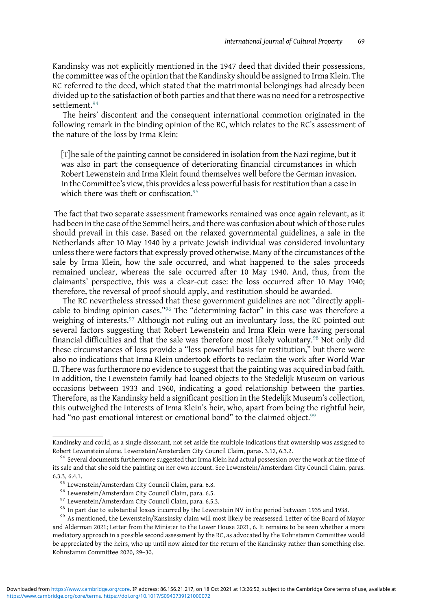Kandinsky was not explicitly mentioned in the 1947 deed that divided their possessions, the committee was of the opinion that the Kandinsky should be assigned to Irma Klein. The RC referred to the deed, which stated that the matrimonial belongings had already been divided up to the satisfaction of both parties and that there was no need for a retrospective settlement.<sup>94</sup>

The heirs' discontent and the consequent international commotion originated in the following remark in the binding opinion of the RC, which relates to the RC's assessment of the nature of the loss by Irma Klein:

[T]he sale of the painting cannot be considered in isolation from the Nazi regime, but it was also in part the consequence of deteriorating financial circumstances in which Robert Lewenstein and Irma Klein found themselves well before the German invasion. In the Committee's view, this provides a less powerful basis for restitution than a case in which there was theft or confiscation.<sup>95</sup>

The fact that two separate assessment frameworks remained was once again relevant, as it had been in the case of the Semmel heirs, and there was confusion about which of those rules should prevail in this case. Based on the relaxed governmental guidelines, a sale in the Netherlands after 10 May 1940 by a private Jewish individual was considered involuntary unless there were factors that expressly proved otherwise. Many of the circumstances of the sale by Irma Klein, how the sale occurred, and what happened to the sales proceeds remained unclear, whereas the sale occurred after 10 May 1940. And, thus, from the claimants' perspective, this was a clear-cut case: the loss occurred after 10 May 1940; therefore, the reversal of proof should apply, and restitution should be awarded.

The RC nevertheless stressed that these government guidelines are not "directly applicable to binding opinion cases."<sup>96</sup> The "determining factor" in this case was therefore a weighing of interests.<sup>97</sup> Although not ruling out an involuntary loss, the RC pointed out several factors suggesting that Robert Lewenstein and Irma Klein were having personal financial difficulties and that the sale was therefore most likely voluntary.<sup>98</sup> Not only did these circumstances of loss provide a "less powerful basis for restitution," but there were also no indications that Irma Klein undertook efforts to reclaim the work after World War II. There was furthermore no evidence to suggest that the painting was acquired in bad faith. In addition, the Lewenstein family had loaned objects to the Stedelijk Museum on various occasions between 1933 and 1960, indicating a good relationship between the parties. Therefore, as the Kandinsky held a significant position in the Stedelijk Museum's collection, this outweighed the interests of Irma Klein's heir, who, apart from being the rightful heir, had "no past emotional interest or emotional bond" to the claimed object.<sup>99</sup>

Kandinsky and could, as a single dissonant, not set aside the multiple indications that ownership was assigned to Robert Lewenstein alone. Lewenstein/Amsterdam City Council Claim, paras. 3.12, 6.3.2. 94 Several documents furthermore suggested that Irma Klein had actual possession over the work at the time of

its sale and that she sold the painting on her own account. See Lewenstein/Amsterdam City Council Claim, paras. 6.3.3, 6.4.1.<br><sup>95</sup> Lewenstein/Amsterdam City Council Claim, para. 6.8.<br><sup>96</sup> Lewenstein/Amsterdam City Council Claim, para. 6.5.<br><sup>97</sup> Lewenstein/Amsterdam City Council Claim, para. 6.5.3.<br><sup>98</sup> In part due to substantial lo

and Alderman 2021; Letter from the Minister to the Lower House 2021, 6. It remains to be seen whether a more mediatory approach in a possible second assessment by the RC, as advocated by the Kohnstamm Committee would be appreciated by the heirs, who up until now aimed for the return of the Kandinsky rather than something else. Kohnstamm Committee 2020, 29–30.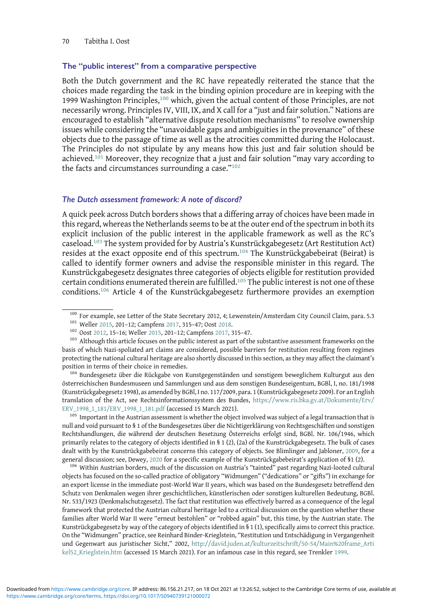#### The "public interest" from a comparative perspective

Both the Dutch government and the RC have repeatedly reiterated the stance that the choices made regarding the task in the binding opinion procedure are in keeping with the 1999 Washington Principles,<sup>100</sup> which, given the actual content of those Principles, are not necessarily wrong. Principles IV, VIII, IX, and X call for a "just and fair solution." Nations are encouraged to establish "alternative dispute resolution mechanisms" to resolve ownership issues while considering the "unavoidable gaps and ambiguities in the provenance" of these objects due to the passage of time as well as the atrocities committed during the Holocaust. The Principles do not stipulate by any means how this just and fair solution should be achieved.<sup>101</sup> Moreover, they recognize that a just and fair solution "may vary according to the facts and circumstances surrounding a case."<sup>102</sup>

# The Dutch assessment framework: A note of discord?

A quick peek across Dutch borders shows that a differing array of choices have been made in this regard, whereas the Netherlands seems to be at the outer end of the spectrum in both its explicit inclusion of the public interest in the applicable framework as well as the RC's caseload.<sup>103</sup> The system provided for by Austria's Kunstrückgabegesetz (Art Restitution Act) resides at the exact opposite end of this spectrum.<sup>104</sup> The Kunstrückgabebeirat (Beirat) is called to identify former owners and advise the responsible minister in this regard. The Kunstrückgabegesetz designates three categories of objects eligible for restitution provided certain conditions enumerated therein are fulfilled.<sup>105</sup> The public interest is not one of these conditions.<sup>106</sup> Article 4 of the Kunstrückgabegesetz furthermore provides an exemption

österreichischen Bundesmuseen und Sammlungen und aus dem sonstigen Bundeseigentum, BGBl, I, no. 181/1998 (Kunstrückgabegesetz 1998), as amended by BGBl, I no. 117/2009, para. 1 (Kunstrückgabegesetz 2009). For an English translation of the Act, see Rechtsinformationssystem des Bundes, [https://www.ris.bka.gv.at/Dokumente/Erv/](https://www.ris.bka.gv.at/Dokumente/Erv/ERV_1998_1_181/ERV_1998_1_181.pdf)  $EN\_1998\_1\_181/ERV\_1998\_1\_181.pdf$  (accessed 15 March 2021).<br><sup>105</sup> Important in the Austrian assessment is whether the object involved was subject of a legal transaction that is

null and void pursuant to § 1 of the Bundesgesetzes über die Nichtigerklärung von Rechtsgeschäften und sonstigen Rechtshandlungen, die während der deutschen Besetzung Österreichs erfolgt sind, BGBl. Nr. 106/1946, which primarily relates to the category of objects identified in § 1 (2), (2a) of the Kunstrückgabegesetz. The bulk of cases dealt with by the Kunstrückgabebeirat concerns this category of objects. See Blimlinger and Jabloner, [2009,](#page-28-0) for a general discussion; see, Dewey, [2020](#page-28-0) for a specific example of the Kunstrückgabebeirat's application of §1 (2).<br><sup>106</sup> Within Austrian borders, much of the discussion on Austria's "tainted" past regarding Nazi-looted cultur

objects has focused on the so-called practice of obligatory "Widmungen" ("dedications" or "gifts") in exchange for an export license in the immediate post-World War II years, which was based on the Bundesgesetz betreffend den Schutz von Denkmalen wegen ihrer geschichtlichen, künstlerischen oder sonstigen kulturellen Bedeutung, BGBl. Nr. 533/1923 (Denkmalschutzgesetz). The fact that restitution was effectively barred as a consequence of the legal framework that protected the Austrian cultural heritage led to a critical discussion on the question whether these families after World War II were "erneut bestohlen" or "robbed again" but, this time, by the Austrian state. The Kunstrückgabegesetz by way of the category of objects identified in § 1 (1), specifically aims to correct this practice. On the "Widmungen" practice, see Reinhard Binder-Krieglstein, "Restitution und Entschädigung in Vergangenheit und Gegenwart aus juristischer Sicht," 2002, [http://david.juden.at/kulturzeitschrift/50-54/Main%20frame\\_Arti](http://david.juden.at/kulturzeitschrift/50-54/Main%20frame_Artikel52_Krieglstein.htm) [kel52\\_Krieglstein.htm](http://david.juden.at/kulturzeitschrift/50-54/Main%20frame_Artikel52_Krieglstein.htm) (accessed 15 March 2021). For an infamous case in this regard, see Trenkler [1999.](#page-29-0)

<sup>&</sup>lt;sup>100</sup> For example, see Letter of the State Secretary 2012, 4; Lewenstein/Amsterdam City Council Claim, para. 5.3<br><sup>101</sup> Weller [2015](#page-29-0), 201–12; Campfens [2017](#page-28-0), 315–47; Oost [2018.](#page-29-0)<br><sup>102</sup> Oost [2012](#page-29-0), 15–16; Weller 2015, 201–12; Ca

basis of which Nazi-spoliated art claims are considered, possible barriers for restitution resulting from regimes protecting the national cultural heritage are also shortly discussed in this section, as they may affect the claimant's position in terms of their choice in remedies.<br><sup>104</sup> Bundesgesetz über die Rückgabe von Kunstgegenständen und sonstigem beweglichem Kulturgut aus den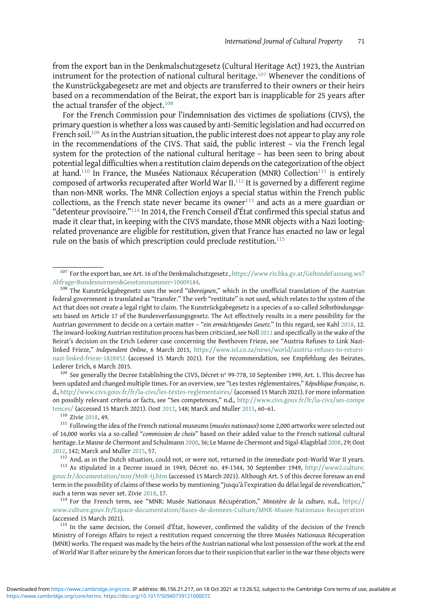from the export ban in the Denkmalschutzgesetz (Cultural Heritage Act) 1923, the Austrian instrument for the protection of national cultural heritage.<sup>107</sup> Whenever the conditions of the Kunstrückgabegesetz are met and objects are transferred to their owners or their heirs based on a recommendation of the Beirat, the export ban is inapplicable for 25 years after the actual transfer of the object.<sup>108</sup>

For the French Commission pour l'indemnisation des victimes de spoliations (CIVS), the primary question is whether a loss was caused by anti-Semitic legislation and had occurred on French soil.<sup>109</sup> As in the Austrian situation, the public interest does not appear to play any role in the recommendations of the CIVS. That said, the public interest – via the French legal system for the protection of the national cultural heritage – has been seen to bring about potential legal difficulties when a restitution claim depends on the categorization of the object at hand.<sup>110</sup> In France, the Musées Nationaux Récuperation (MNR) Collection<sup>111</sup> is entirely composed of artworks recuperated after World War II.<sup>112</sup> It is governed by a different regime than non-MNR works. The MNR Collection enjoys a special status within the French public collections, as the French state never became its owner $113$  and acts as a mere guardian or "detenteur provisoire."<sup>114</sup> In 2014, the French Conseil d'État confirmed this special status and made it clear that, in keeping with the CIVS mandate, those MNR objects with a Nazi lootingrelated provenance are eligible for restitution, given that France has enacted no law or legal rule on the basis of which prescription could preclude restitution.<sup>115</sup>

been updated and changed multiple times. For an overview, see "Les textes réglementaires," République française, n. d., <http://www.civs.gouv.fr/fr/la-civs/les-textes-reglementaires/> (accessed 15 March 2021). For more information on possibly relevant criteria or facts, see "Ses competences," n.d., [http://www.civs.gouv.fr/fr/la-civs/ses-compe](http://www.civs.gouv.fr/fr/la-civs/ses-competences/) [tences/](http://www.civs.gouv.fr/fr/la-civs/ses-competences/) (accessed 15 March 2021). Oost [2012,](#page-29-0) 148; Marck and Muller [2015,](#page-29-0) 60–61.<br><sup>110</sup> Zivie [2018](#page-30-0), 49. 111 Following the idea of the French national museums (*musées nationaux*) some 2,000 artworks were selected out

of 16,000 works via a so-called "commission de choix" based on their added value to the French national cultural heritage. Le Masne de Chermont and Schulmann [2000,](#page-29-0) 36; Le Masne de Chermont and Sigal-Klagsblad [2008](#page-29-0), 29; Oost

[2012](#page-29-0), 142; Marck and Muller [2015](#page-29-0), 57.<br><sup>112</sup> And, as in the Dutch situation, could not, or were not, returned in the immediate post-World War II years.<br><sup>113</sup> As stipulated in a Decree issued in 1949, Décret no. 49-1344, 30 [gouv.fr/documentation/mnr/MnR-tj.htm](http://www2.culture.gouv.fr/documentation/mnr/MnR-tj.htm) (accessed 15 March 2021). Although Art. 5 of this decree foresaw an end term in the possibility of claims of these works by mentioning "jusqu'à l'expiration du délai legal de revendication," such a term was never set. Zivie [2018](#page-30-0), 17.<br><sup>114</sup> For the French term, see "MNR: Musée Nationaux Récupération," Ministère de la culture, n.d., [https://](https://www.culture.gouv.fr/Espace-documentation/Bases-de-donnees-Culture/MNR-Musee-Nationaux-Recuperation)

[www.culture.gouv.fr/Espace-documentation/Bases-de-donnees-Culture/MNR-Musee-Nationaux-Recuperation](https://www.culture.gouv.fr/Espace-documentation/Bases-de-donnees-Culture/MNR-Musee-Nationaux-Recuperation) (accessed 15 March 2021).<br><sup>115</sup> In the same decision, the Conseil d'État, however, confirmed the validity of the decision of the French

Ministry of Foreign Affairs to reject a restitution request concerning the three Musées Nationaux Récuperation (MNR) works. The request was made by the heirs of the Austrian national who lost possession of the work at the end of World War II after seizure by the American forces due to their suspicion that earlier in the war these objects were

<sup>&</sup>lt;sup>107</sup> For the export ban, see Art. 16 of the Denkmalschutzgesetz, [https://www.ris.bka.gv.at/GeltendeFassung.wx?](https://www.ris.bka.gv.at/GeltendeFassung.wx?Abfrage=BundesnormenGesetzesnummer=10009184) [Abfrage=Bundesnormen&Gesetzesnummer=10009184.](https://www.ris.bka.gv.at/GeltendeFassung.wx?Abfrage=BundesnormenGesetzesnummer=10009184)<br><sup>108</sup> The Kunstrückgabegesetz uses the word "*übereignen*," which in the unofficial translation of the Austrian

federal government is translated as "transfer." The verb "restitute" is not used, which relates to the system of the Act that does not create a legal right to claim. The Kunstrückgabegesetz is a species of a so-called Selbstbindungsgesetz based on Article 17 of the Bundesverfassungsgesetz. The Act effectively results in a mere possibility for the Austrian government to decide on a certain matter - "ein ermächtigendes Gesetz." In this regard, see Kahl [2018,](#page-29-0) 12. The inward-looking Austrian restitution process has been criticized, see Noll [2011](#page-29-0) and specifically in the wake of the Beirat's decision on the Erich Lederer case concerning the Beethoven Frieze, see "Austria Refuses to Link Nazilinked Frieze," Independent Online, 6 March 2015, [https://www.iol.co.za/news/world/austria-refuses-to-return](https://www.iol.co.za/news/world/austria-refuses-to-return-nazi-linked-frieze-1828452)[nazi-linked-frieze-1828452](https://www.iol.co.za/news/world/austria-refuses-to-return-nazi-linked-frieze-1828452) (accessed 15 March 2021). For the recommendation, see Empfehlung des Beirates, Lederer Erich, 6 March 2015. <sup>109</sup> See generally the Decree Establishing the CIVS, Décret n° 99-778, 10 September 1999, Art. 1. This decree has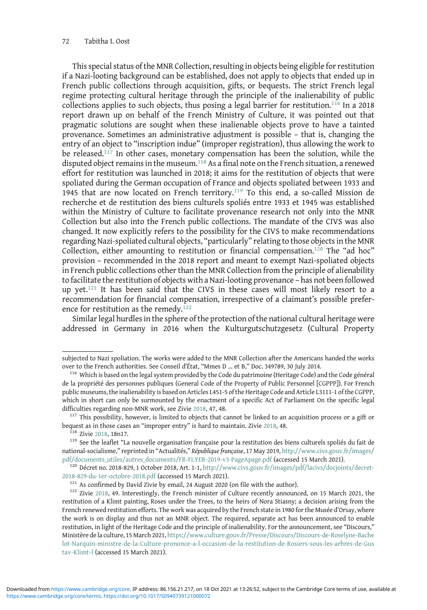This special status of the MNR Collection, resulting in objects being eligible for restitution if a Nazi-looting background can be established, does not apply to objects that ended up in French public collections through acquisition, gifts, or bequests. The strict French legal regime protecting cultural heritage through the principle of the inalienability of public collections applies to such objects, thus posing a legal barrier for restitution.<sup>116</sup> In a 2018 report drawn up on behalf of the French Ministry of Culture, it was pointed out that pragmatic solutions are sought when these inalienable objects prove to have a tainted provenance. Sometimes an administrative adjustment is possible – that is, changing the entry of an object to "inscription indue" (improper registration), thus allowing the work to be released.<sup>117</sup> In other cases, monetary compensation has been the solution, while the disputed object remains in the museum.<sup>118</sup> As a final note on the French situation, a renewed effort for restitution was launched in 2018; it aims for the restitution of objects that were spoliated during the German occupation of France and objects spoliated between 1933 and 1945 that are now located on French territory.<sup>119</sup> To this end, a so-called Mission de recherche et de restitution des biens culturels spoliés entre 1933 et 1945 was established within the Ministry of Culture to facilitate provenance research not only into the MNR Collection but also into the French public collections. The mandate of the CIVS was also changed. It now explicitly refers to the possibility for the CIVS to make recommendations regarding Nazi-spoliated cultural objects, "particularly" relating to those objects in the MNR Collection, either amounting to restitution or financial compensation.<sup>120</sup> The "ad hoc" provision – recommended in the 2018 report and meant to exempt Nazi-spoliated objects in French public collections other than the MNR Collection from the principle of alienability to facilitate the restitution of objects with a Nazi-looting provenance – has not been followed up yet. $121$  It has been said that the CIVS in these cases will most likely resort to a recommendation for financial compensation, irrespective of a claimant's possible preference for restitution as the remedy.<sup>122</sup>

Similar legal hurdles in the sphere of the protection of the national cultural heritage were addressed in Germany in 2016 when the Kulturgutschutzgesetz (Cultural Property

subjected to Nazi spoliation. The works were added to the MNR Collection after the Americans handed the works over to the French authorities. See Conseil d'État, "Mmes D … et B," Doc. 349789, 30 July 2014. <sup>116</sup> Which is based on the legal system provided by the Code du patrimoine (Heritage Code) and the Code général

de la propriété des personnes publiques (General Code of the Property of Public Personnel [CGPPP]). For French public museums, the inalienability is based on Articles L451-5 of the Heritage Code and Article L3111-1 of the CGPPP, which in short can only be surmounted by the enactment of a specific Act of Parliament On the specific legal difficulties regarding non-MNR work, see Zivie [2018,](#page-30-0) 47, 48.<br><sup>117</sup> This possibility, however, is limited to objects that cannot be linked to an acquisition process or a gift or

bequest as in those cases an "improper entry" is hard to maintain. Zivie [2018](#page-30-0), 48.<br><sup>118</sup> Zivie [2018,](#page-30-0) 18n17. <sup>119</sup> See the leaflet "La nouvelle organisation française pour la restitution des biens culturels spoliés du fait

national-socialisme," reprinted in "Actualités," République française, 17 May 2019, [http://www.civs.gouv.fr/images/](http://www.civs.gouv.fr/images/pdf/documents_utiles/autres_documents/FR-FLYER-2019-v3-PageApage.pdf)

[pdf/documents\\_utiles/autres\\_documents/FR-FLYER-2019-v3-PageApage.pdf](http://www.civs.gouv.fr/images/pdf/documents_utiles/autres_documents/FR-FLYER-2019-v3-PageApage.pdf) (accessed 15 March 2021). <sup>120</sup> Décret no. 2018-829, 1 October 2018, Art. 1-1, [http://www.civs.gouv.fr/images/pdf/lacivs/docjoints/decret-](http://www.civs.gouv.fr/images/pdf/lacivs/docjoints/decret-2018-829-du-1er-octobre-2018.pdf)[2018-829-du-1er-octobre-2018.pdf](http://www.civs.gouv.fr/images/pdf/lacivs/docjoints/decret-2018-829-du-1er-octobre-2018.pdf) (accessed 15 March 2021).<br><sup>121</sup> As confirmed by David Zivie by email, 24 August 2020 (on file with the author).<br><sup>122</sup> Zivie [2018,](#page-30-0) 49. Interestingly, the French minister of Culture recently

restitution of a Klimt painting, Roses under the Trees, to the heirs of Nora Stiasny; a decision arising from the French renewed restitution efforts. The work was acquired by the French state in 1980 for the Musée d'Orsay, where the work is on display and thus not an MNR object. The required, separate act has been announced to enable restitution, in light of the Heritage Code and the principle of inalienability. For the announcement, see "Discours," Ministère de la culture, 15 March 2021, [https://www.culture.gouv.fr/Presse/Discours/Discours-de-Roselyne-Bache](https://www.culture.gouv.fr/Presse/Discours/Discours-de-Roselyne-Bachelot-Narquin-ministre-de-la-Culture-prononce-a-l-occasion-de-la-restitution-de-Rosiers-sous-les-arbres-de-Gustav-Klimt-l) [lot-Narquin-ministre-de-la-Culture-prononce-a-l-occasion-de-la-restitution-de-Rosiers-sous-les-arbres-de-Gus](https://www.culture.gouv.fr/Presse/Discours/Discours-de-Roselyne-Bachelot-Narquin-ministre-de-la-Culture-prononce-a-l-occasion-de-la-restitution-de-Rosiers-sous-les-arbres-de-Gustav-Klimt-l) [tav-Klimt-l](https://www.culture.gouv.fr/Presse/Discours/Discours-de-Roselyne-Bachelot-Narquin-ministre-de-la-Culture-prononce-a-l-occasion-de-la-restitution-de-Rosiers-sous-les-arbres-de-Gustav-Klimt-l) (accessed 15 March 2021).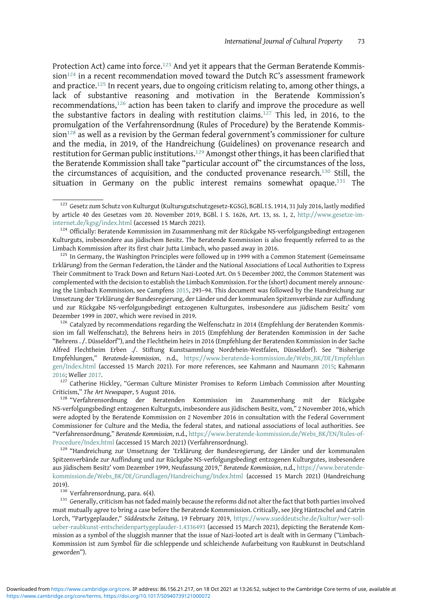Protection Act) came into force.<sup>123</sup> And yet it appears that the German Beratende Kommis $s$ ion $124$  in a recent recommendation moved toward the Dutch RC's assessment framework and practice.<sup>125</sup> In recent years, due to ongoing criticism relating to, among other things, a lack of substantive reasoning and motivation in the Beratende Kommission's recommendations,<sup>126</sup> action has been taken to clarify and improve the procedure as well the substantive factors in dealing with restitution claims.<sup>127</sup> This led, in 2016, to the promulgation of the Verfahrensordnung (Rules of Procedure) by the Beratende Kommis- $\sin^{128}$  as well as a revision by the German federal government's commissioner for culture and the media, in 2019, of the Handreichung (Guidelines) on provenance research and restitution for German public institutions.<sup>129</sup> Amongst other things, it has been clarified that the Beratende Kommission shall take "particular account of" the circumstances of the loss, the circumstances of acquisition, and the conducted provenance research.<sup>130</sup> Still, the situation in Germany on the public interest remains somewhat opaque.<sup>131</sup> The

Criticism," The Art Newspaper, 5 August 2016.<br><sup>128</sup> "Verfahrensordnung der Beratenden Kommission im Zusammenhang mit der Rückgabe

NS-verfolgungsbedingt entzogenen Kulturguts, insbesondere aus jüdischem Besitz, vom," 2 November 2016, which were adopted by the Beratende Kommission on 2 November 2016 in consultation with the Federal Government Commissioner for Culture and the Media, the federal states, and national associations of local authorities. See "Verfahrensordnung," Beratende Kommission, n.d., https://www.beratende-kommission.de/Webs\_BK/EN/Rules-of-<br>Procedure/Index.html (accessed 15 March 2021) (Verfahrensordnung).

<sup>129</sup> "Handreichung zur Umsetzung der 'Erklärung der Bundesregierung, der Länder und der kommunalen Spitzenverbände zur Auffindung und zur Rückgabe NS-verfolgungsbedingt entzogenen Kulturgutes, insbesondere aus jüdischem Besitz' vom Dezember 1999, Neufassung 2019," Beratende Kommission, n.d., [https://www.beratende](https://www.beratende-kommission.de/Webs_BK/DE/Grundlagen/Handreichung/Index.html)[kommission.de/Webs\\_BK/DE/Grundlagen/Handreichung/Index.html](https://www.beratende-kommission.de/Webs_BK/DE/Grundlagen/Handreichung/Index.html) (accessed 15 March 2021) (Handreichung 2019).<br><sup>130</sup> Verfahrensordnung, para. 6(4).<br><sup>131</sup> Generally, criticism has not faded mainly because the reforms did not alter the fact that both parties involved

must mutually agree to bring a case before the Beratende Kommmission. Critically, see Jörg Häntzschel and Catrin Lorch, "Partygeplauder," Süddeutsche Zeitung, 19 February 2019, [https://www.sueddeutsche.de/kultur/wer-soll](https://www.sueddeutsche.de/kultur/wer-soll-ueber-raubkunst-entscheidenpartygeplauder-1.4336493)[ueber-raubkunst-entscheidenpartygeplauder-1.4336493](https://www.sueddeutsche.de/kultur/wer-soll-ueber-raubkunst-entscheidenpartygeplauder-1.4336493) (accessed 15 March 2021), depicting the Beratende Kommission as a symbol of the sluggish manner that the issue of Nazi-looted art is dealt with in Germany ("Limbach-Kommission ist zum Symbol für die schleppende und schleichende Aufarbeitung von Raubkunst in Deutschland geworden").

<sup>&</sup>lt;sup>123</sup> Gesetz zum Schutz von Kulturgut (Kultursgutschutzgesetz-KGSG), BGBl. I S. 1914, 31 July 2016, lastly modified by article 40 des Gesetzes vom 20. November 2019, BGBl. I S. 1626, Art. 13, ss. 1, 2, [http://www.gesetze-im](http://www.gesetze-im-internet.de/kgsg/index.html)[internet.de/kgsg/index.html](http://www.gesetze-im-internet.de/kgsg/index.html) (accessed 15 March 2021).<br><sup>124</sup> Officially: Beratende Kommission im Zusammenhang mit der Rückgabe NS-verfolgungsbedingt entzogenen

Kulturguts, insbesondere aus jüdischem Besitz. The Beratende Kommission is also frequently referred to as the Limbach Kommission after its first chair Jutta Limbach, who passed away in 2016.<br><sup>125</sup> In Germany, the Washington Principles were followed up in 1999 with a Common Statement (Gemeinsame

Erklärung) from the German Federation, the Länder and the National Associations of Local Authorities to Express Their Commitment to Track Down and Return Nazi-Looted Art. On 5 December 2002, the Common Statement was complemented with the decision to establish the Limbach Kommission. For the (short) document merely announcing the Limbach Kommission, see Campfens [2015,](#page-28-0) 293–94. This document was followed by the Handreichung zur Umsetzung der'Erklärung der Bundesregierung, der Länder und der kommunalen Spitzenverbände zur Auffindung und zur Rückgabe NS-verfolgungsbedingt entzogenen Kulturgutes, insbesondere aus jüdischem Besitz' vom

 $^{126}$  Catalyzed by recommendations regarding the Welfenschatz in 2014 (Empfehlung der Beratenden Kommission im fall Welfenschatz), the Behrens heirs in 2015 (Empfehlung der Beratenden Kommission in der Sache "Behrens . /. Düsseldorf"), and the Flechtheim heirs in 2016 (Empfehlung der Beratenden Kommission in der Sache Alfred Flechtheim Erben ./. Stiftung Kunstsammlung Nordrhein-Westfalen, Düsseldorf). See "Bisherige Empfehlungen," Beratende-kommission, n.d., [https://www.beratende-kommission.de/Webs\\_BK/DE/Empfehlun](https://www.beratende-kommission.de/Webs_BK/DE/Empfehlungen/Index.html) [gen/Index.html](https://www.beratende-kommission.de/Webs_BK/DE/Empfehlungen/Index.html) (accessed 15 March 2021). For more references, see Kahmann and Naumann [2015](#page-29-0); Kahmann [2016](#page-29-0); Weller [2017](#page-30-0).<br><sup>127</sup> Catherine Hickley, "German Culture Minister Promises to Reform Limbach Commission after Mounting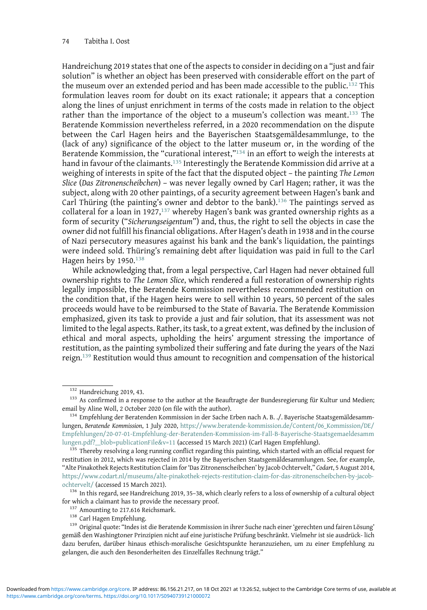Handreichung 2019 states that one of the aspects to consider in deciding on a "just and fair solution" is whether an object has been preserved with considerable effort on the part of the museum over an extended period and has been made accessible to the public.<sup>132</sup> This formulation leaves room for doubt on its exact rationale; it appears that a conception along the lines of unjust enrichment in terms of the costs made in relation to the object rather than the importance of the object to a museum's collection was meant.<sup>133</sup> The Beratende Kommission nevertheless referred, in a 2020 recommendation on the dispute between the Carl Hagen heirs and the Bayerischen Staatsgemäldesammlunge, to the (lack of any) significance of the object to the latter museum or, in the wording of the Beratende Kommission, the "curational interest,"<sup>134</sup> in an effort to weigh the interests at hand in favour of the claimants.<sup>135</sup> Interestingly the Beratende Kommission did arrive at a weighing of interests in spite of the fact that the disputed object – the painting The Lemon Slice (Das Zitronenscheibchen) – was never legally owned by Carl Hagen; rather, it was the subject, along with 20 other paintings, of a security agreement between Hagen's bank and Carl Thüring (the painting's owner and debtor to the bank).<sup>136</sup> The paintings served as collateral for a loan in 1927, $137$  whereby Hagen's bank was granted ownership rights as a form of security ("Sicherungseigentum") and, thus, the right to sell the objects in case the owner did not fulfill his financial obligations. After Hagen's death in 1938 and in the course of Nazi persecutory measures against his bank and the bank's liquidation, the paintings were indeed sold. Thüring's remaining debt after liquidation was paid in full to the Carl Hagen heirs by 1950.<sup>138</sup>

While acknowledging that, from a legal perspective, Carl Hagen had never obtained full ownership rights to The Lemon Slice, which rendered a full restoration of ownership rights legally impossible, the Beratende Kommission nevertheless recommended restitution on the condition that, if the Hagen heirs were to sell within 10 years, 50 percent of the sales proceeds would have to be reimbursed to the State of Bavaria. The Beratende Kommission emphasized, given its task to provide a just and fair solution, that its assessment was not limited to the legal aspects. Rather, its task, to a great extent, was defined by the inclusion of ethical and moral aspects, upholding the heirs' argument stressing the importance of restitution, as the painting symbolized their suffering and fate during the years of the Nazi reign.<sup>139</sup> Restitution would thus amount to recognition and compensation of the historical

for which a claimant has to provide the necessary proof.<br><sup>137</sup> Amounting to 217.616 Reichsmark.<br><sup>138</sup> Carl Hagen Empfehlung.<br><sup>138</sup> Original quote: "Indes ist die Beratende Kommission in ihrer Suche nach einer 'gerechten un

 $132$  Handreichung 2019, 43.<br> $133$  As confirmed in a response to the author at the Beauftragte der Bundesregierung für Kultur und Medien; email by Aline Woll, 2 October 2020 (on file with the author).<br><sup>134</sup> Empfehlung der Beratenden Kommission in der Sache Erben nach A. B. ./. Bayerische Staatsgemäldesamm-

lungen, Beratende Kommission, 1 July 2020, [https://www.beratende-kommission.de/Content/06\\_Kommission/DE/](https://www.beratende-kommission.de/Content/06_Kommission/DE/Empfehlungen/20-07-01-Empfehlung-der-Beratenden-Kommission-im-Fall-B-Bayerische-Staatsgemaeldesammlungen.pdf?__blob=publicationFilev=11) [Empfehlungen/20-07-01-Empfehlung-der-Beratenden-Kommission-im-Fall-B-Bayerische-Staatsgemaeldesamm](https://www.beratende-kommission.de/Content/06_Kommission/DE/Empfehlungen/20-07-01-Empfehlung-der-Beratenden-Kommission-im-Fall-B-Bayerische-Staatsgemaeldesammlungen.pdf?__blob=publicationFilev=11) lungen.pdf?\_blob=publicationFile&v=11 (accessed 15 March 2021) (Carl Hagen Empfehlung).<br><sup>135</sup> Thereby resolving a long running conflict regarding this painting, which started with an official request for

restitution in 2012, which was rejected in 2014 by the Bayerischen Staatsgemäldesammlungen. See, for example, "Alte Pinakothek Rejects Restitution Claim for'Das Zitronenscheibchen' by Jacob Ochtervelt," Codart, 5 August 2014, [https://www.codart.nl/museums/alte-pinakothek-rejects-restitution-claim-for-das-zitronenscheibchen-by-jacob](https://www.codart.nl/museums/alte-pinakothek-rejects-restitution-claim-for-das-zitronenscheibchen-by-jacob-ochtervelt/)[ochtervelt/](https://www.codart.nl/museums/alte-pinakothek-rejects-restitution-claim-for-das-zitronenscheibchen-by-jacob-ochtervelt/) (accessed 15 March 2021). <sup>136</sup> In this regard, see Handreichung 2019, 35–38, which clearly refers to a loss of ownership of a cultural object

gemäß den Washingtoner Prinzipien nicht auf eine juristische Prüfung beschränkt. Vielmehr ist sie ausdrück- lich dazu berufen, darüber hinaus ethisch-moralische Gesichtspunkte heranzuziehen, um zu einer Empfehlung zu gelangen, die auch den Besonderheiten des Einzelfalles Rechnung trägt."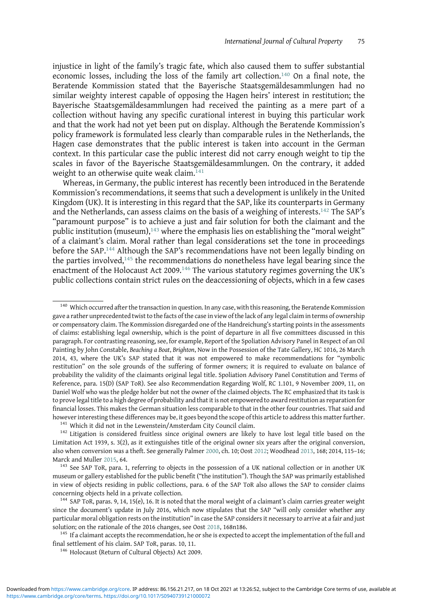injustice in light of the family's tragic fate, which also caused them to suffer substantial economic losses, including the loss of the family art collection.<sup>140</sup> On a final note, the Beratende Kommission stated that the Bayerische Staatsgemäldesammlungen had no similar weighty interest capable of opposing the Hagen heirs' interest in restitution; the Bayerische Staatsgemäldesammlungen had received the painting as a mere part of a collection without having any specific curational interest in buying this particular work and that the work had not yet been put on display. Although the Beratende Kommission's policy framework is formulated less clearly than comparable rules in the Netherlands, the Hagen case demonstrates that the public interest is taken into account in the German context. In this particular case the public interest did not carry enough weight to tip the scales in favor of the Bayerische Staatsgemäldesammlungen. On the contrary, it added weight to an otherwise quite weak claim.<sup>141</sup>

Whereas, in Germany, the public interest has recently been introduced in the Beratende Kommission's recommendations, it seems that such a development is unlikely in the United Kingdom (UK). It is interesting in this regard that the SAP, like its counterparts in Germany and the Netherlands, can assess claims on the basis of a weighing of interests.<sup>142</sup> The SAP's "paramount purpose" is to achieve a just and fair solution for both the claimant and the public institution (museum),<sup>143</sup> where the emphasis lies on establishing the "moral weight" of a claimant's claim. Moral rather than legal considerations set the tone in proceedings before the SAP.144 Although the SAP's recommendations have not been legally binding on the parties involved, $145$  the recommendations do nonetheless have legal bearing since the enactment of the Holocaust Act 2009.<sup>146</sup> The various statutory regimes governing the UK's public collections contain strict rules on the deaccessioning of objects, which in a few cases

<sup>&</sup>lt;sup>140</sup> Which occurred after the transaction in question. In any case, with this reasoning, the Beratende Kommission gave a rather unprecedented twist to the facts of the case in view of the lack of any legal claim in terms of ownership or compensatory claim. The Kommission disregarded one of the Handreichung's starting points in the assessments of claims: establishing legal ownership, which is the point of departure in all five committees discussed in this paragraph. For contrasting reasoning, see, for example, Report of the Spoliation Advisory Panel in Respect of an Oil Painting by John Constable, Beaching a Boat, Brighton, Now in the Possession of the Tate Gallery, HC 1016, 26 March 2014, 43, where the UK's SAP stated that it was not empowered to make recommendations for "symbolic restitution" on the sole grounds of the suffering of former owners; it is required to evaluate on balance of probability the validity of the claimants original legal title. Spoliation Advisory Panel Constitution and Terms of Reference, para. 15(D) (SAP ToR). See also Recommendation Regarding Wolf, RC 1.101, 9 November 2009, 11, on Daniel Wolf who was the pledge holder but not the owner of the claimed objects. The RC emphasized that its task is to prove legal title to a high degree of probability and that it is not empowered to award restitution as reparation for financial losses. This makes the German situation less comparable to that in the other four countries. That said and however interesting these differences may be, it goes beyond the scope of this article to address this matter further.<br><sup>141</sup> Which it did not in the Lewenstein/Amsterdam City Council claim.<br><sup>142</sup> Litigation is considered f

Limitation Act 1939, s. 3(2), as it extinguishes title of the original owner six years after the original conversion, also when conversion was a theft. See generally Palmer [2000,](#page-29-0) ch. 10; Oost [2012;](#page-29-0) Woodhead [2013,](#page-30-0) 168; 2014, 115–16;

Marck and Muller [2015](#page-29-0), 64.<br><sup>143</sup> See SAP ToR, para. 1, referring to objects in the possession of a UK national collection or in another UK museum or gallery established for the public benefit ("the institution"). Though the SAP was primarily established in view of objects residing in public collections, para. 6 of the SAP ToR also allows the SAP to consider claims concerning objects held in a private collection.<br><sup>144</sup> SAP ToR, paras. 9, 14, 15(e), 16. It is noted that the moral weight of a claimant's claim carries greater weight

since the document's update in July 2016, which now stipulates that the SAP "will only consider whether any particular moral obligation rests on the institution" in case the SAP considers it necessary to arrive at a fair and just solution; on the rationale of the 2016 changes, see Oost [2018](#page-29-0), 168n186.<br><sup>145</sup> If a claimant accepts the recommendation, he or she is expected to accept the implementation of the full and

final settlement of his claim. SAP ToR, paras. 10, 11. <sup>146</sup> Holocaust (Return of Cultural Objects) Act 2009.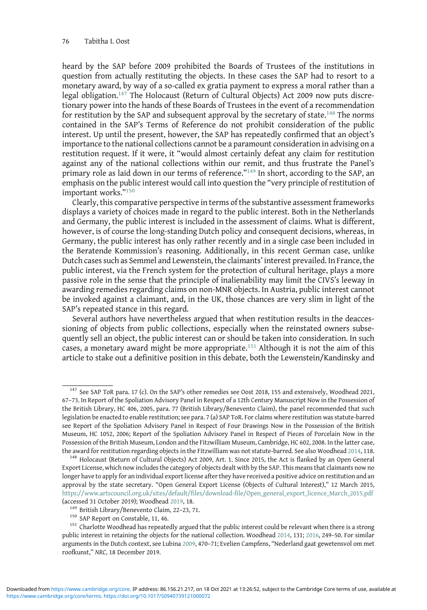heard by the SAP before 2009 prohibited the Boards of Trustees of the institutions in question from actually restituting the objects. In these cases the SAP had to resort to a monetary award, by way of a so-called ex gratia payment to express a moral rather than a legal obligation.<sup>147</sup> The Holocaust (Return of Cultural Objects) Act 2009 now puts discretionary power into the hands of these Boards of Trustees in the event of a recommendation for restitution by the SAP and subsequent approval by the secretary of state.<sup>148</sup> The norms contained in the SAP's Terms of Reference do not prohibit consideration of the public interest. Up until the present, however, the SAP has repeatedly confirmed that an object's importance to the national collections cannot be a paramount consideration in advising on a restitution request. If it were, it "would almost certainly defeat any claim for restitution against any of the national collections within our remit, and thus frustrate the Panel's primary role as laid down in our terms of reference."<sup>149</sup> In short, according to the SAP, an emphasis on the public interest would call into question the "very principle of restitution of important works."<sup>150</sup>

Clearly, this comparative perspective in terms of the substantive assessment frameworks displays a variety of choices made in regard to the public interest. Both in the Netherlands and Germany, the public interest is included in the assessment of claims. What is different, however, is of course the long-standing Dutch policy and consequent decisions, whereas, in Germany, the public interest has only rather recently and in a single case been included in the Beratende Kommission's reasoning. Additionally, in this recent German case, unlike Dutch cases such as Semmel and Lewenstein, the claimants' interest prevailed. In France, the public interest, via the French system for the protection of cultural heritage, plays a more passive role in the sense that the principle of inalienability may limit the CIVS's leeway in awarding remedies regarding claims on non-MNR objects. In Austria, public interest cannot be invoked against a claimant, and, in the UK, those chances are very slim in light of the SAP's repeated stance in this regard.

Several authors have nevertheless argued that when restitution results in the deaccessioning of objects from public collections, especially when the reinstated owners subsequently sell an object, the public interest can or should be taken into consideration. In such cases, a monetary award might be more appropriate.<sup>151</sup> Although it is not the aim of this article to stake out a definitive position in this debate, both the Lewenstein/Kandinsky and

<sup>&</sup>lt;sup>147</sup> See SAP ToR para. 17 (c). On the SAP's other remedies see Oost 2018, 155 and extensively, Woodhead 2021, 67–73. In Report of the Spoliation Advisory Panel in Respect of a 12th Century Manuscript Now in the Possession of the British Library, HC 406, 2005, para. 77 (British Library/Benevento Claim), the panel recommended that such legislation be enacted to enable restitution; see para. 7 (a) SAP ToR. For claims where restitution was statute-barred see Report of the Spoliation Advisory Panel in Respect of Four Drawings Now in the Possession of the British Museum, HC 1052, 2006; Report of the Spoliation Advisory Panel in Respect of Pieces of Porcelain Now in the Possession of the British Museum, London and the Fitzwilliam Museum, Cambridge, HC 602, 2008. In the latter case, the award for restitution regarding objects in the Fitzwilliam was not statute-barred. See also Woodhead [2014,](#page-30-0) 118.<br><sup>148</sup> Holocaust (Return of Cultural Objects) Act 2009, Art. 1. Since 2015, the Act is flanked by an Open G

Export License, which now includes the category of objects dealt with by the SAP. This means that claimants now no longer have to apply for an individual export license after they have received a positive advice on restitution and an approval by the state secretary. "Open General Export License (Objects of Cultural Interest)," 12 March 2015, [https://www.artscouncil.org.uk/sites/default/files/download-file/Open\\_general\\_export\\_licence\\_March\\_2015.pdf](https://www.artscouncil.org.uk/sites/default/files/download-file/Open_general_export_licence_March_2015.pdf) (accessed 31 October 2019); Woodhead [2019,](#page-30-0) 18.<br> $^{149}$  British Library/Benevento Claim, 22–23, 71.<br> $^{150}$  SAP Report on Constable, 11, 46.<br> $^{150}$  Charlotte Woodhead has repeatedly argued that the public interest could b

public interest in retaining the objects for the national collection. Woodhead [2014](#page-30-0), 131; [2016](#page-30-0), 249–50. For similar arguments in the Dutch context, see Lubina [2009](#page-29-0), 470–71; Evelien Campfens, "Nederland gaat gewetensvol om met roofkunst," NRC, 18 December 2019.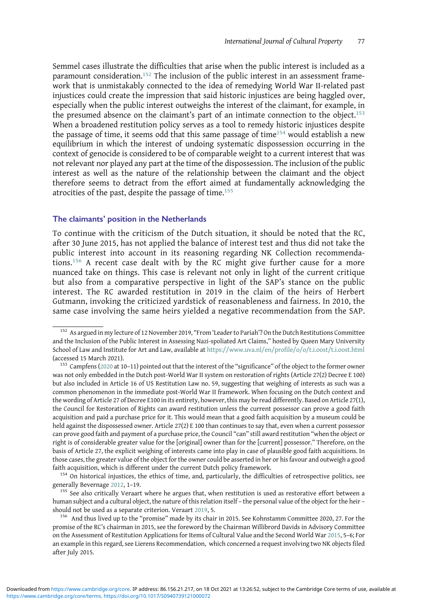Semmel cases illustrate the difficulties that arise when the public interest is included as a paramount consideration.<sup>152</sup> The inclusion of the public interest in an assessment framework that is unmistakably connected to the idea of remedying World War II-related past injustices could create the impression that said historic injustices are being haggled over, especially when the public interest outweighs the interest of the claimant, for example, in the presumed absence on the claimant's part of an intimate connection to the object.<sup>153</sup> When a broadened restitution policy serves as a tool to remedy historic injustices despite the passage of time, it seems odd that this same passage of time<sup>154</sup> would establish a new equilibrium in which the interest of undoing systematic dispossession occurring in the context of genocide is considered to be of comparable weight to a current interest that was not relevant nor played any part at the time of the dispossession. The inclusion of the public interest as well as the nature of the relationship between the claimant and the object therefore seems to detract from the effort aimed at fundamentally acknowledging the atrocities of the past, despite the passage of time.<sup>155</sup>

## The claimants' position in the Netherlands

To continue with the criticism of the Dutch situation, it should be noted that the RC, after 30 June 2015, has not applied the balance of interest test and thus did not take the public interest into account in its reasoning regarding NK Collection recommendations.<sup>156</sup> A recent case dealt with by the RC might give further cause for a more nuanced take on things. This case is relevant not only in light of the current critique but also from a comparative perspective in light of the SAP's stance on the public interest. The RC awarded restitution in 2019 in the claim of the heirs of Herbert Gutmann, invoking the criticized yardstick of reasonableness and fairness. In 2010, the same case involving the same heirs yielded a negative recommendation from the SAP.

 $155$  See also critically Veraart where he argues that, when restitution is used as restorative effort between a human subject and a cultural object, the nature of this relation itself – the personal value of the object for the heir – should not be used as a separate criterion. Veraart [2019,](#page-29-0) 5.<br><sup>156</sup> And thus lived up to the "promise" made by its chair in 2015. See Kohnstamm Committee 2020, 27. For the

<sup>&</sup>lt;sup>152</sup> As argued in my lecture of 12 November 2019, "From 'Leader to Pariah'? On the Dutch Restitutions Committee and the Inclusion of the Public Interest in Assessing Nazi-spoliated Art Claims," hosted by Queen Mary University School of Law and Institute for Art and Law, available at <https://www.uva.nl/en/profile/o/o/t.i.oost/t.i.oost.html> (accessed 15 March 2021).<br><sup>153</sup> Campfens [\(2020](#page-28-0) at 10–11) pointed out that the interest of the "significance" of the object to the former owner

was not only embedded in the Dutch post-World War II system on restoration of rights (Article 27(2) Decree E 100) but also included in Article 16 of US Restitution Law no. 59, suggesting that weighing of interests as such was a common phenomenon in the immediate post-World War II framework. When focusing on the Dutch context and the wording of Article 27 of Decree E100 in its entirety, however, this may be read differently. Based on Article 27(1), the Council for Restoration of Rights can award restitution unless the current possessor can prove a good faith acquisition and paid a purchase price for it. This would mean that a good faith acquisition by a museum could be held against the dispossessed owner. Article 27(2) E 100 than continues to say that, even when a current possessor can prove good faith and payment of a purchase price, the Council "can" still award restitution "when the object or right is of considerable greater value for the [original] owner than for the [current] possessor." Therefore, on the basis of Article 27, the explicit weighing of interests came into play in case of plausible good faith acquisitions. In those cases, the greater value of the object for the owner could be asserted in her or his favour and outweigh a good

faith acquisition, which is different under the current Dutch policy framework.<br><sup>154</sup> On historical injustices, the ethics of time, and, particularly, the difficulties of retrospective politics, see<br>generally Bevernage 20

promise of the RC's chairman in 2015, see the foreword by the Chairman Willibrord Davids in Advisory Committee on the Assessment of Restitution Applications for Items of Cultural Value and the Second World War [2015,](#page-28-0) 5–6; For an example in this regard, see Lierens Recommendation, which concerned a request involving two NK objects filed after July 2015.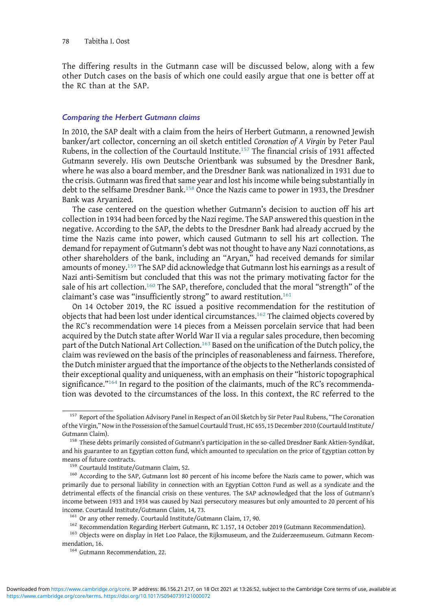The differing results in the Gutmann case will be discussed below, along with a few other Dutch cases on the basis of which one could easily argue that one is better off at the RC than at the SAP.

#### Comparing the Herbert Gutmann claims

In 2010, the SAP dealt with a claim from the heirs of Herbert Gutmann, a renowned Jewish banker/art collector, concerning an oil sketch entitled Coronation of A Virgin by Peter Paul Rubens, in the collection of the Courtauld Institute.<sup>157</sup> The financial crisis of 1931 affected Gutmann severely. His own Deutsche Orientbank was subsumed by the Dresdner Bank, where he was also a board member, and the Dresdner Bank was nationalized in 1931 due to the crisis. Gutmann was fired that same year and lost his income while being substantially in debt to the selfsame Dresdner Bank.158 Once the Nazis came to power in 1933, the Dresdner Bank was Aryanized.

The case centered on the question whether Gutmann's decision to auction off his art collection in 1934 had been forced by the Nazi regime. The SAP answered this question in the negative. According to the SAP, the debts to the Dresdner Bank had already accrued by the time the Nazis came into power, which caused Gutmann to sell his art collection. The demand for repayment of Gutmann's debt was not thought to have any Nazi connotations, as other shareholders of the bank, including an "Aryan," had received demands for similar amounts of money.<sup>159</sup> The SAP did acknowledge that Gutmann lost his earnings as a result of Nazi anti-Semitism but concluded that this was not the primary motivating factor for the sale of his art collection.<sup>160</sup> The SAP, therefore, concluded that the moral "strength" of the claimant's case was "insufficiently strong" to award restitution.<sup>161</sup>

On 14 October 2019, the RC issued a positive recommendation for the restitution of objects that had been lost under identical circumstances.<sup>162</sup> The claimed objects covered by the RC's recommendation were 14 pieces from a Meissen porcelain service that had been acquired by the Dutch state after World War II via a regular sales procedure, then becoming part of the Dutch National Art Collection.<sup>163</sup> Based on the unification of the Dutch policy, the claim was reviewed on the basis of the principles of reasonableness and fairness. Therefore, the Dutch minister argued that the importance of the objects to the Netherlands consisted of their exceptional quality and uniqueness, with an emphasis on their "historic topographical significance."<sup>164</sup> In regard to the position of the claimants, much of the RC's recommendation was devoted to the circumstances of the loss. In this context, the RC referred to the

<sup>&</sup>lt;sup>157</sup> Report of the Spoliation Advisory Panel in Respect of an Oil Sketch by Sir Peter Paul Rubens, "The Coronation of the Virgin,"Now in the Possession of the Samuel Courtauld Trust, HC 655, 15 December 2010 (Courtauld Institute/

Gutmann Claim). <sup>158</sup> These debts primarily consisted of Gutmann's participation in the so-called Dresdner Bank Aktien-Syndikat, and his guarantee to an Egyptian cotton fund, which amounted to speculation on the price of Egyptian cotton by means of future contracts.<br><sup>159</sup> Courtauld Institute/Gutmann Claim, 52. 160 According to the SAP, Gutmann lost 80 percent of his income before the Nazis came to power, which was

primarily due to personal liability in connection with an Egyptian Cotton Fund as well as a syndicate and the detrimental effects of the financial crisis on these ventures. The SAP acknowledged that the loss of Gutmann's income between 1933 and 1934 was caused by Nazi persecutory measures but only amounted to 20 percent of his

income. Courtauld Institute/Gutmann Claim, 14, 73.<br>
<sup>161</sup> Or any other remedy. Courtauld Institute/Gutmann Claim, 17, 90.<br>
<sup>162</sup> Recommendation Regarding Herbert Gutmann, RC 1.157, 14 October 2019 (Gutmann Recommendation)

<sup>&</sup>lt;sup>164</sup> Gutmann Recommendation, 22.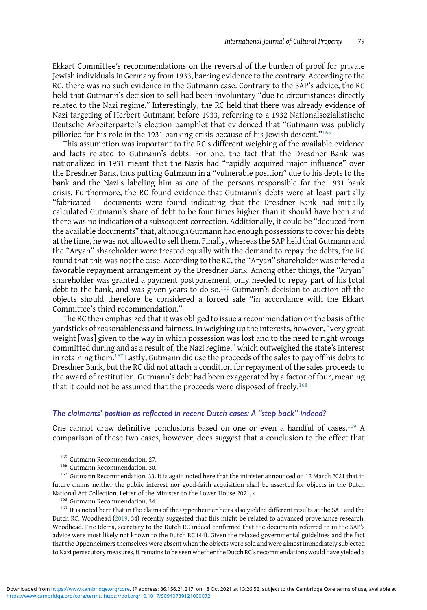Ekkart Committee's recommendations on the reversal of the burden of proof for private Jewish individuals in Germany from 1933, barring evidence to the contrary. According to the RC, there was no such evidence in the Gutmann case. Contrary to the SAP's advice, the RC held that Gutmann's decision to sell had been involuntary "due to circumstances directly related to the Nazi regime." Interestingly, the RC held that there was already evidence of Nazi targeting of Herbert Gutmann before 1933, referring to a 1932 Nationalsozialistische Deutsche Arbeiterpartei's election pamphlet that evidenced that "Gutmann was publicly pilloried for his role in the 1931 banking crisis because of his Jewish descent."<sup>165</sup>

This assumption was important to the RC's different weighing of the available evidence and facts related to Gutmann's debts. For one, the fact that the Dresdner Bank was nationalized in 1931 meant that the Nazis had "rapidly acquired major influence" over the Dresdner Bank, thus putting Gutmann in a "vulnerable position" due to his debts to the bank and the Nazi's labeling him as one of the persons responsible for the 1931 bank crisis. Furthermore, the RC found evidence that Gutmann's debts were at least partially "fabricated – documents were found indicating that the Dresdner Bank had initially calculated Gutmann's share of debt to be four times higher than it should have been and there was no indication of a subsequent correction. Additionally, it could be "deduced from the available documents" that, although Gutmann had enough possessions to cover his debts at the time, he was not allowed to sell them. Finally, whereas the SAP held that Gutmann and the "Aryan" shareholder were treated equally with the demand to repay the debts, the RC found that this was not the case. According to the RC, the "Aryan" shareholder was offered a favorable repayment arrangement by the Dresdner Bank. Among other things, the "Aryan" shareholder was granted a payment postponement, only needed to repay part of his total debt to the bank, and was given years to do so.<sup>166</sup> Gutmann's decision to auction off the objects should therefore be considered a forced sale "in accordance with the Ekkart Committee's third recommendation."

The RC then emphasized that it was obliged to issue a recommendation on the basis of the yardsticks of reasonableness and fairness. In weighing up the interests, however, "very great weight [was] given to the way in which possession was lost and to the need to right wrongs committed during and as a result of, the Nazi regime," which outweighed the state's interest in retaining them.<sup>167</sup> Lastly, Gutmann did use the proceeds of the sales to pay off his debts to Dresdner Bank, but the RC did not attach a condition for repayment of the sales proceeds to the award of restitution. Gutmann's debt had been exaggerated by a factor of four, meaning that it could not be assumed that the proceeds were disposed of freely.<sup>168</sup>

# The claimants' position as reflected in recent Dutch cases: A "step back" indeed?

One cannot draw definitive conclusions based on one or even a handful of cases.<sup>169</sup> A comparison of these two cases, however, does suggest that a conclusion to the effect that

<sup>&</sup>lt;sup>165</sup> Gutmann Recommendation, 27.<br><sup>166</sup> Gutmann Recommendation, 30.<br><sup>167</sup> Gutmann Recommendation, 33. It is again noted here that the minister announced on 12 March 2021 that in future claims neither the public interest nor good-faith acquisition shall be asserted for objects in the Dutch National Art Collection. Letter of the Minister to the Lower House 2021, 4.<br><sup>168</sup> Gutmann Recommendation, 34.<br><sup>169</sup> It is noted here that in the claims of the Oppenheimer heirs also yielded different results at the SAP and

Dutch RC. Woodhead ([2019,](#page-30-0) 34) recently suggested that this might be related to advanced provenance research. Woodhead. Eric Idema, secretary to the Dutch RC indeed confirmed that the documents referred to in the SAP's advice were most likely not known to the Dutch RC (44). Given the relaxed governmental guidelines and the fact that the Oppenheimers themselves were absent when the objects were sold and were almost immediately subjected to Nazi persecutory measures, it remains to be seen whether the Dutch RC's recommendations would have yielded a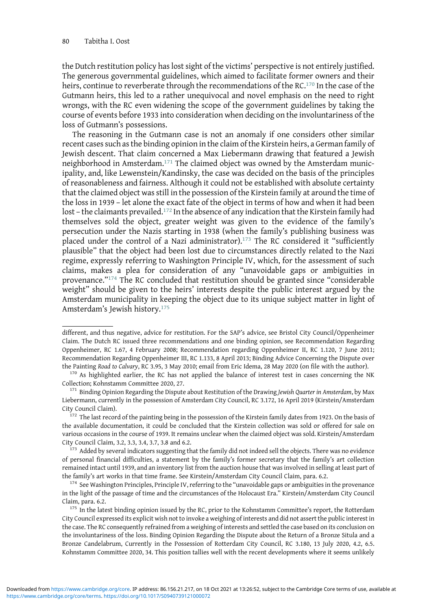the Dutch restitution policy has lost sight of the victims' perspective is not entirely justified. The generous governmental guidelines, which aimed to facilitate former owners and their heirs, continue to reverberate through the recommendations of the RC.<sup>170</sup> In the case of the Gutmann heirs, this led to a rather unequivocal and novel emphasis on the need to right wrongs, with the RC even widening the scope of the government guidelines by taking the course of events before 1933 into consideration when deciding on the involuntariness of the loss of Gutmann's possessions.

The reasoning in the Gutmann case is not an anomaly if one considers other similar recent cases such as the binding opinion in the claim of the Kirstein heirs, a German family of Jewish descent. That claim concerned a Max Liebermann drawing that featured a Jewish neighborhood in Amsterdam.<sup>171</sup> The claimed object was owned by the Amsterdam municipality, and, like Lewenstein/Kandinsky, the case was decided on the basis of the principles of reasonableness and fairness. Although it could not be established with absolute certainty that the claimed object was still in the possession of the Kirstein family at around the time of the loss in 1939 – let alone the exact fate of the object in terms of how and when it had been lost – the claimants prevailed.<sup>172</sup> In the absence of any indication that the Kirstein family had themselves sold the object, greater weight was given to the evidence of the family's persecution under the Nazis starting in 1938 (when the family's publishing business was placed under the control of a Nazi administrator).<sup>173</sup> The RC considered it "sufficiently plausible" that the object had been lost due to circumstances directly related to the Nazi regime, expressly referring to Washington Principle IV, which, for the assessment of such claims, makes a plea for consideration of any "unavoidable gaps or ambiguities in provenance."<sup>174</sup> The RC concluded that restitution should be granted since "considerable weight" should be given to the heirs' interests despite the public interest argued by the Amsterdam municipality in keeping the object due to its unique subject matter in light of Amsterdam's Jewish history.<sup>175</sup>

different, and thus negative, advice for restitution. For the SAP's advice, see Bristol City Council/Oppenheimer Claim. The Dutch RC issued three recommendations and one binding opinion, see Recommendation Regarding Oppenheimer, RC 1.67, 4 February 2008; Recommendation regarding Oppenheimer II, RC 1.120, 7 June 2011; Recommendation Regarding Oppenheimer III, RC 1.133, 8 April 2013; Binding Advice Concerning the Dispute over

the Painting Road to Calvary, RC 3.95, 3 May 2010; email from Eric Idema, 28 May 2020 (on file with the author).<br><sup>170</sup> As highlighted earlier, the RC has not applied the balance of interest test in cases concerning the NK Collection; Kohnstamm Committee 2020, 27. <sup>171</sup> Binding Opinion Regarding the Dispute about Restitution of the Drawing Jewish Quarter in Amsterdam, by Max

Liebermann, currently in the possession of Amsterdam City Council, RC 3.172, 16 April 2019 (Kirstein/Amsterdam City Council Claim). <sup>172</sup> The last record of the painting being in the possession of the Kirstein family dates from 1923. On the basis of

the available documentation, it could be concluded that the Kirstein collection was sold or offered for sale on various occasions in the course of 1939. It remains unclear when the claimed object was sold. Kirstein/Amsterdam City Council Claim, 3.2, 3.3, 3.4, 3.7, 3.8 and 6.2. <sup>173</sup> Added by several indicators suggesting that the family did not indeed sell the objects. There was no evidence

of personal financial difficulties, a statement by the family's former secretary that the family's art collection remained intact until 1939, and an inventory list from the auction house that was involved in selling at least part of the family's art works in that time frame. See Kirstein/Amsterdam City Council Claim, para. 6.2. 174 See Washington Principles, Principle IV, referring to the "unavoidable gaps or ambiguities in the provenance

in the light of the passage of time and the circumstances of the Holocaust Era." Kirstein/Amsterdam City Council

Claim, para. 6.2. 175 In the latest binding opinion issued by the RC, prior to the Kohnstamm Committee's report, the Rotterdam City Council expressed its explicit wish not to invoke a weighing of interests and did not assert the public interest in the case. The RC consequently refrained from a weighing of interests and settled the case based on its conclusion on the involuntariness of the loss. Binding Opinion Regarding the Dispute about the Return of a Bronze Situla and a Bronze Candelabrum, Currently in the Possession of Rotterdam City Council, RC 3.180, 13 July 2020, 4.2, 6.5. Kohnstamm Committee 2020, 34. This position tallies well with the recent developments where it seems unlikely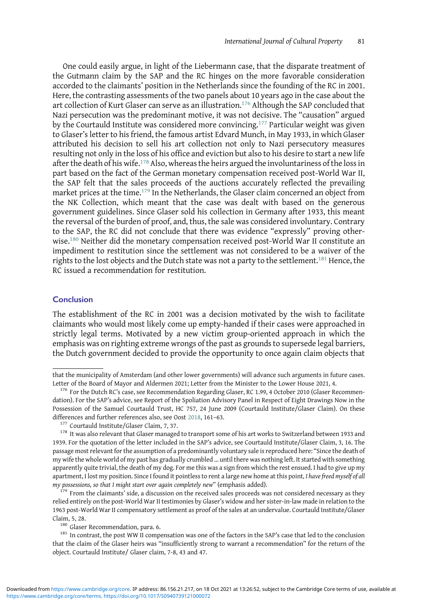One could easily argue, in light of the Liebermann case, that the disparate treatment of the Gutmann claim by the SAP and the RC hinges on the more favorable consideration accorded to the claimants' position in the Netherlands since the founding of the RC in 2001. Here, the contrasting assessments of the two panels about 10 years ago in the case about the art collection of Kurt Glaser can serve as an illustration.<sup>176</sup> Although the SAP concluded that Nazi persecution was the predominant motive, it was not decisive. The "causation" argued by the Courtauld Institute was considered more convincing.<sup>177</sup> Particular weight was given to Glaser's letter to his friend, the famous artist Edvard Munch, in May 1933, in which Glaser attributed his decision to sell his art collection not only to Nazi persecutory measures resulting not only in the loss of his office and eviction but also to his desire to start a new life after the death of his wife.<sup>178</sup> Also, whereas the heirs argued the involuntariness of the loss in part based on the fact of the German monetary compensation received post-World War II, the SAP felt that the sales proceeds of the auctions accurately reflected the prevailing market prices at the time.<sup>179</sup> In the Netherlands, the Glaser claim concerned an object from the NK Collection, which meant that the case was dealt with based on the generous government guidelines. Since Glaser sold his collection in Germany after 1933, this meant the reversal of the burden of proof, and, thus, the sale was considered involuntary. Contrary to the SAP, the RC did not conclude that there was evidence "expressly" proving otherwise.<sup>180</sup> Neither did the monetary compensation received post-World War II constitute an impediment to restitution since the settlement was not considered to be a waiver of the rights to the lost objects and the Dutch state was not a party to the settlement.<sup>181</sup> Hence, the RC issued a recommendation for restitution.

# Conclusion

The establishment of the RC in 2001 was a decision motivated by the wish to facilitate claimants who would most likely come up empty-handed if their cases were approached in strictly legal terms. Motivated by a new victim group-oriented approach in which the emphasis was on righting extreme wrongs of the past as grounds to supersede legal barriers, the Dutch government decided to provide the opportunity to once again claim objects that

<sup>179</sup> From the claimants' side, a discussion on the received sales proceeds was not considered necessary as they relied entirely on the post-World War II testimonies by Glaser's widow and her sister-in-law made in relation to the 1963 post-World War II compensatory settlement as proof of the sales at an undervalue. Courtauld Institute/Glaser

Claim, 5, 28. 180 Glaser Recommendation, para. 6. 180 Glaser Recommendation, para. 6. 181 In contrast, the post WW II compensation was one of the factors in the SAP's case that led to the conclusion that the claim of the Glaser heirs was "insufficiently strong to warrant a recommendation" for the return of the object. Courtauld Institute/ Glaser claim, 7-8, 43 and 47.

that the municipality of Amsterdam (and other lower governments) will advance such arguments in future cases. Letter of the Board of Mayor and Aldermen 2021; Letter from the Minister to the Lower House 2021, 4.<br><sup>176</sup> For the Dutch RC's case, see Recommendation Regarding Glaser, RC 1.99, 4 October 2010 (Glaser Recommen-

dation). For the SAP's advice, see Report of the Spoliation Advisory Panel in Respect of Eight Drawings Now in the Possession of the Samuel Courtauld Trust, HC 757, 24 June 2009 (Courtauld Institute/Glaser Claim). On these differences and further references also, see Oost [2018,](#page-29-0) 161–63. 177 Courtauld Institute/Glaser Claim, 7, 37. 178 It was also relevant that Glaser managed to transport some of his art works to Switzerland between 1933 and

<sup>1939.</sup> For the quotation of the letter included in the SAP's advice, see Courtauld Institute/Glaser Claim, 3, 16. The passage most relevant for the assumption of a predominantly voluntary sale is reproduced here: "Since the death of my wife the whole world of my past has gradually crumbled ... until there was nothing left. It started with something apparently quite trivial, the death of my dog. For me this was a sign from which the rest ensued. I had to give up my apartment, I lost my position. Since I found it pointless to rent a large new home at this point, I have freed myself of all<br>my possessions, so that I might start over again completely new" (emphasis added).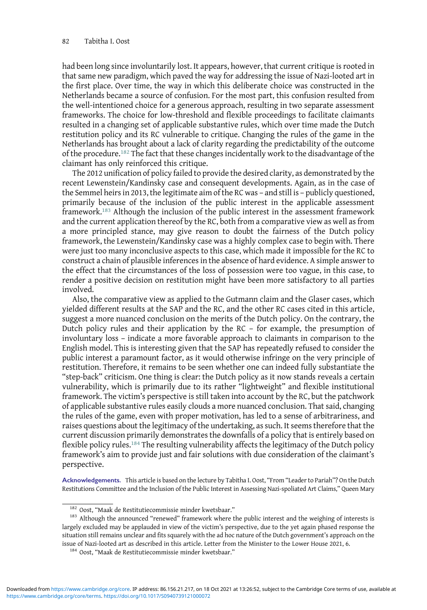had been long since involuntarily lost. It appears, however, that current critique is rooted in that same new paradigm, which paved the way for addressing the issue of Nazi-looted art in the first place. Over time, the way in which this deliberate choice was constructed in the Netherlands became a source of confusion. For the most part, this confusion resulted from the well-intentioned choice for a generous approach, resulting in two separate assessment frameworks. The choice for low-threshold and flexible proceedings to facilitate claimants resulted in a changing set of applicable substantive rules, which over time made the Dutch restitution policy and its RC vulnerable to critique. Changing the rules of the game in the Netherlands has brought about a lack of clarity regarding the predictability of the outcome of the procedure.<sup>182</sup> The fact that these changes incidentally work to the disadvantage of the claimant has only reinforced this critique.

The 2012 unification of policy failed to provide the desired clarity, as demonstrated by the recent Lewenstein/Kandinsky case and consequent developments. Again, as in the case of the Semmel heirs in 2013, the legitimate aim of the RC was – and still is – publicly questioned, primarily because of the inclusion of the public interest in the applicable assessment framework.<sup>183</sup> Although the inclusion of the public interest in the assessment framework and the current application thereof by the RC, both from a comparative view as well as from a more principled stance, may give reason to doubt the fairness of the Dutch policy framework, the Lewenstein/Kandinsky case was a highly complex case to begin with. There were just too many inconclusive aspects to this case, which made it impossible for the RC to construct a chain of plausible inferences in the absence of hard evidence. A simple answer to the effect that the circumstances of the loss of possession were too vague, in this case, to render a positive decision on restitution might have been more satisfactory to all parties involved.

Also, the comparative view as applied to the Gutmann claim and the Glaser cases, which yielded different results at the SAP and the RC, and the other RC cases cited in this article, suggest a more nuanced conclusion on the merits of the Dutch policy. On the contrary, the Dutch policy rules and their application by the RC – for example, the presumption of involuntary loss – indicate a more favorable approach to claimants in comparison to the English model. This is interesting given that the SAP has repeatedly refused to consider the public interest a paramount factor, as it would otherwise infringe on the very principle of restitution. Therefore, it remains to be seen whether one can indeed fully substantiate the "step-back" criticism. One thing is clear: the Dutch policy as it now stands reveals a certain vulnerability, which is primarily due to its rather "lightweight" and flexible institutional framework. The victim's perspective is still taken into account by the RC, but the patchwork of applicable substantive rules easily clouds a more nuanced conclusion. That said, changing the rules of the game, even with proper motivation, has led to a sense of arbitrariness, and raises questions about the legitimacy of the undertaking, as such. It seems therefore that the current discussion primarily demonstrates the downfalls of a policy that is entirely based on flexible policy rules.<sup>184</sup> The resulting vulnerability affects the legitimacy of the Dutch policy framework's aim to provide just and fair solutions with due consideration of the claimant's perspective.

Acknowledgements. This article is based on the lecture by Tabitha I. Oost, "From "Leader to Pariah"? On the Dutch Restitutions Committee and the Inclusion of the Public Interest in Assessing Nazi-spoliated Art Claims," Queen Mary

 $182$  Oost, "Maak de Restitutiecommissie minder kwetsbaar."<br> $183$  Although the announced "renewed" framework where the public interest and the weighing of interests is largely excluded may be applauded in view of the victim's perspective, due to the yet again phased response the situation still remains unclear and fits squarely with the ad hoc nature of the Dutch government's approach on the issue of Nazi-looted art as described in this article. Letter from the Minister to the Lower House 2021, 6. <sup>184</sup> Oost, "Maak de Restitutiecommissie minder kwetsbaar."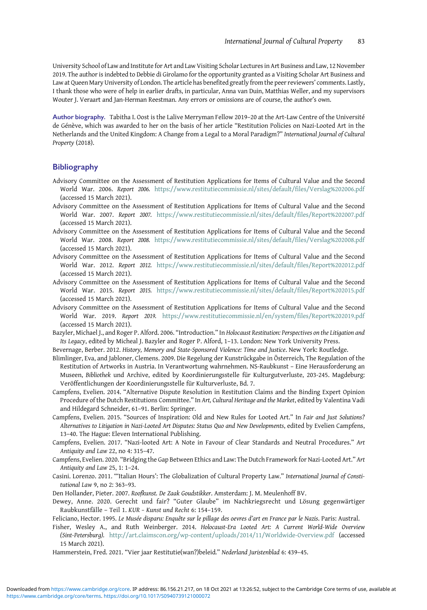<span id="page-28-0"></span>University School of Law and Institute for Art and Law Visiting Scholar Lectures in Art Business and Law, 12 November 2019. The author is indebted to Debbie di Girolamo for the opportunity granted as a Visiting Scholar Art Business and Law at Queen Mary University of London. The article has benefited greatly from the peer reviewers' comments. Lastly, I thank those who were of help in earlier drafts, in particular, Anna van Duin, Matthias Weller, and my supervisors Wouter J. Veraart and Jan-Herman Reestman. Any errors or omissions are of course, the author's own.

Author biography. Tabitha I. Oost is the Lalive Merryman Fellow 2019–20 at the Art-Law Centre of the Université de Génève, which was awarded to her on the basis of her article "Restitution Policies on Nazi-Looted Art in the Netherlands and the United Kingdom: A Change from a Legal to a Moral Paradigm?" International Journal of Cultural Property (2018).

# **Bibliography**

- Advisory Committee on the Assessment of Restitution Applications for Items of Cultural Value and the Second World War. 2006. Report 2006. <https://www.restitutiecommissie.nl/sites/default/files/Verslag%202006.pdf> (accessed 15 March 2021).
- Advisory Committee on the Assessment of Restitution Applications for Items of Cultural Value and the Second World War. 2007. Report 2007. <https://www.restitutiecommissie.nl/sites/default/files/Report%202007.pdf> (accessed 15 March 2021).
- Advisory Committee on the Assessment of Restitution Applications for Items of Cultural Value and the Second World War. 2008. Report 2008. <https://www.restitutiecommissie.nl/sites/default/files/Verslag%202008.pdf> (accessed 15 March 2021).
- Advisory Committee on the Assessment of Restitution Applications for Items of Cultural Value and the Second World War. 2012. Report 2012. <https://www.restitutiecommissie.nl/sites/default/files/Report%202012.pdf> (accessed 15 March 2021).
- Advisory Committee on the Assessment of Restitution Applications for Items of Cultural Value and the Second World War. 2015. Report 2015. <https://www.restitutiecommissie.nl/sites/default/files/Report%202015.pdf> (accessed 15 March 2021).
- Advisory Committee on the Assessment of Restitution Applications for Items of Cultural Value and the Second World War. 2019. Report 2019. <https://www.restitutiecommissie.nl/en/system/files/Report%202019.pdf> (accessed 15 March 2021).
- Bazyler, Michael J., and Roger P. Alford. 2006. "Introduction." In Holocaust Restitution: Perspectives on the Litigation and Its Legacy, edited by Micheal J. Bazyler and Roger P. Alford, 1–13. London: New York University Press.
- Bevernage, Berber. 2012. History, Memory and State-Sponsored Violence: Time and Justice. New York: Routledge.
- Blimlinger, Eva, and Jabloner, Clemens. 2009. Die Regelung der Kunstrückgabe in Österreich, The Regulation of the Restitution of Artworks in Austria. In Verantwortung wahrnehmen. NS-Raubkunst – Eine Herausforderung an Museen, Bibliothek und Archive, edited by Koordinierungsstelle für Kulturgutverluste, 203-245. Magdeburg: Veröffentlichungen der Koordinierungsstelle für Kulturverluste, Bd. 7.
- Campfens, Evelien. 2014. "Alternative Dispute Resolution in Restitution Claims and the Binding Expert Opinion Procedure of the Dutch Restitutions Committee." In Art, Cultural Heritage and the Market, edited by Valentina Vadi and Hildegard Schneider, 61–91. Berlin: Springer.
- Campfens, Evelien. 2015. "Sources of Inspiration: Old and New Rules for Looted Art." In Fair and Just Solutions? Alternatives to Litigation in Nazi-Looted Art Disputes: Status Quo and New Developments, edited by Evelien Campfens, 13–40. The Hague: Eleven International Publishing.
- Campfens, Evelien. 2017. "Nazi-looted Art: A Note in Favour of Clear Standards and Neutral Procedures." Art Antiquity and Law 22, no 4: 315–47.
- Campfens, Evelien. 2020. "Bridging the Gap Between Ethics and Law: The Dutch Framework for Nazi-Looted Art." Art Antiquity and Law 25, 1: 1–24.
- Casini. Lorenzo. 2011. "'Italian Hours': The Globalization of Cultural Property Law." International Journal of Constitutional Law 9, no 2: 363–93.

Den Hollander, Pieter. 2007. Roofkunst. De Zaak Goudstikker. Amsterdam: J. M. Meulenhoff BV.

- Dewey, Anne. 2020. Gerecht und fair? "Guter Glaube" im Nachkriegsrecht und Lösung gegenwärtiger Raubkunstfälle – Teil 1. KUR – Kunst und Recht 6: 154–159.
- Feliciano, Hector. 1995. Le Musée disparu: Enquête sur le pillage des oevres d'art en France par le Nazis. Paris: Austral.
- Fisher, Wesley A., and Ruth Weinberger. 2014. Holocaust-Era Looted Art: A Current World-Wide Overview (Sint-Petersburg). <http://art.claimscon.org/wp-content/uploads/2014/11/Worldwide-Overview.pdf> (accessed 15 March 2021).

Hammerstein, Fred. 2021. "Vier jaar Restitutie(wan?)beleid." Nederland Juristenblad 6: 439–45.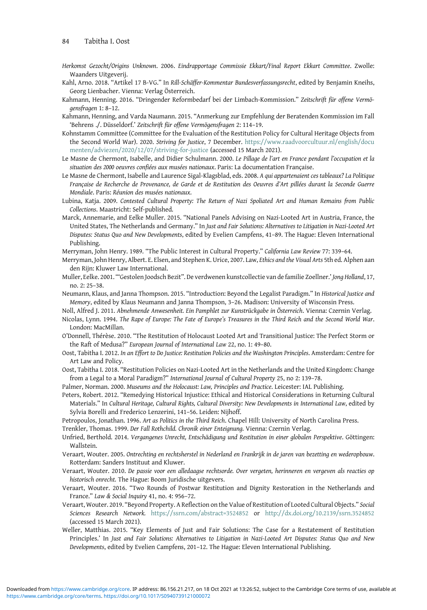- <span id="page-29-0"></span>Herkomst Gezocht/Origins Unknown. 2006. Eindrapportage Commissie Ekkart/Final Report Ekkart Committee. Zwolle: Waanders Uitgeverij.
- Kahl, Arno. 2018. "Artikel 17 B-VG." In Rill-Schäffer-Kommentar Bundesverfassungsrecht, edited by Benjamin Kneihs, Georg Lienbacher. Vienna: Verlag Österreich.
- Kahmann, Henning. 2016. "Dringender Reformbedarf bei der Limbach-Kommission." Zeitschrift für offene Vermögensfragen 1: 8–12.
- Kahmann, Henning, and Varda Naumann. 2015. "Anmerkung zur Empfehlung der Beratenden Kommission im Fall 'Behrens ./. Düsseldorf.' Zeitschrift für offene Vermögensfragen 2: 114–19.
- Kohnstamm Committee (Committee for the Evaluation of the Restitution Policy for Cultural Heritage Objects from the Second World War). 2020. Striving for Justice, 7 December. [https://www.raadvoorcultuur.nl/english/docu](https://www.raadvoorcultuur.nl/english/documenten/adviezen/2020/12/07/striving-for-justice) [menten/adviezen/2020/12/07/striving-for-justice](https://www.raadvoorcultuur.nl/english/documenten/adviezen/2020/12/07/striving-for-justice) (accessed 15 March 2021).
- Le Masne de Chermont, Isabelle, and Didier Schulmann. 2000. Le Pillage de l'art en France pendant l'occupation et la situation des 2000 oeuvres confiées aux musées nationaux. Paris: La documentation Française.
- Le Masne de Chermont, Isabelle and Laurence Sigal-Klagsblad, eds. 2008. A qui appartenaient ces tableaux? La Politique Française de Recherche de Provenance, de Garde et de Restitution des Oeuvres d'Art pillées durant la Seconde Guerre Mondiale. Paris: Réunion des musées nationaux.
- Lubina, Katja. 2009. Contested Cultural Property: The Return of Nazi Spoliated Art and Human Remains from Public Collections. Maastricht: Self-published.
- Marck, Annemarie, and Eelke Muller. 2015. "National Panels Advising on Nazi-Looted Art in Austria, France, the United States, The Netherlands and Germany." In Just and Fair Solutions: Alternatives to Litigation in Nazi-Looted Art Disputes: Status Quo and New Developments, edited by Evelien Campfens, 41–89. The Hague: Eleven International Publishing.
- Merryman, John Henry. 1989. "The Public Interest in Cultural Property." California Law Review 77: 339–64.
- Merryman, John Henry, Albert. E. Elsen, and Stephen K. Urice, 2007. Law, Ethics and the Visual Arts 5th ed. Alphen aan den Rijn: Kluwer Law International.
- Muller, Eelke. 2001. '"Gestolen Joodsch Bezit". De verdwenen kunstcollectie van de familie Zoellner.' Jong Holland, 17, no. 2: 25–38.
- Neumann, Klaus, and Janna Thompson. 2015. "Introduction: Beyond the Legalist Paradigm." In Historical Justice and Memory, edited by Klaus Neumann and Janna Thompson, 3–26. Madison: University of Wisconsin Press.
- Noll, Alfred J. 2011. Abnehmende Anwesenheit. Ein Pamphlet zur Kunstrückgabe in Österreich. Vienna: Czernin Verlag.
- Nicolas, Lynn. 1994. The Rape of Europe: The Fate of Europe's Treasures in the Third Reich and the Second World War. London: MacMillan.
- O'Donnell, Thérèse. 2010. "The Restitution of Holocaust Looted Art and Transitional Justice: The Perfect Storm or the Raft of Medusa?" European Journal of International Law 22, no. 1: 49–80.
- Oost, Tabitha I. 2012. In an Effort to Do Justice: Restitution Policies and the Washington Principles. Amsterdam: Centre for Art Law and Policy.
- Oost, Tabitha I. 2018. "Restitution Policies on Nazi-Looted Art in the Netherlands and the United Kingdom: Change from a Legal to a Moral Paradigm?" International Journal of Cultural Property 25, no 2: 139–78.
- Palmer, Norman. 2000. Museums and the Holocaust: Law, Principles and Practice. Leicester: IAL Publishing.
- Peters, Robert. 2012. "Remedying Historical Injustice: Ethical and Historical Considerations in Returning Cultural Materials." In Cultural Heritage, Cultural Rights, Cultural Diversity: New Developments in International Law, edited by Sylvia Borelli and Frederico Lenzerini, 141–56. Leiden: Nijhoff.
- Petropoulos, Jonathan. 1996. Art as Politics in the Third Reich. Chapel Hill: University of North Carolina Press. Trenkler, Thomas. 1999. Der Fall Rothchild. Chronik einer Enteignung. Vienna: Czernin Verlag.
- Unfried, Berthold. 2014. Vergangenes Unrecht, Entschädigung und Restitution in einer globalen Perspektive. Göttingen: Wallstein.
- Veraart, Wouter. 2005. Ontrechting en rechtsherstel in Nederland en Frankrijk in de jaren van bezetting en wederopbouw. Rotterdam: Sanders Instituut and Kluwer.
- Veraart, Wouter. 2010. De passie voor een alledaagse rechtsorde. Over vergeten, herinneren en vergeven als reacties op historisch onrecht. The Hague: Boom Juridische uitgevers.
- Veraart, Wouter. 2016. "Two Rounds of Postwar Restitution and Dignity Restoration in the Netherlands and France." Law & Social Inquiry 41, no. 4: 956–72.
- Veraart, Wouter. 2019. "Beyond Property. A Reflection on the Value of Restitution of Looted Cultural Objects." Social Sciences Research Network. <https://ssrn.com/abstract=3524852> or <http://dx.doi.org/10.2139/ssrn.3524852> (accessed 15 March 2021).
- Weller, Matthias. 2015. "Key Elements of Just and Fair Solutions: The Case for a Restatement of Restitution Principles.' In Just and Fair Solutions: Alternatives to Litigation in Nazi-Looted Art Disputes: Status Quo and New Developments, edited by Evelien Campfens, 201–12. The Hague: Eleven International Publishing.